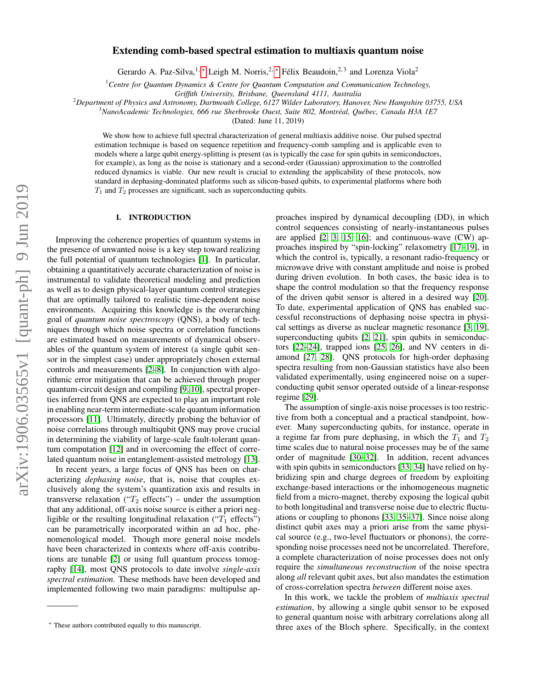# $arXiv:1906.03565v1$  [quant-ph] 9 Jun 2019 arXiv:1906.03565v1 [quant-ph] 9 Jun 2019

# Extending comb-based spectral estimation to multiaxis quantum noise

Gerardo A. Paz-Silva,<sup>1, \*</sup> Leigh M. Norris,<sup>2, \*</sup> Félix Beaudoin,<sup>2,3</sup> and Lorenza Viola<sup>2</sup>

<sup>1</sup>*Centre for Quantum Dynamics & Centre for Quantum Computation and Communication Technology,*

*Griffith University, Brisbane, Queensland 4111, Australia*

<sup>2</sup>*Department of Physics and Astronomy, Dartmouth College, 6127 Wilder Laboratory, Hanover, New Hampshire 03755, USA*

<sup>3</sup>*NanoAcademic Technologies, 666 rue Sherbrooke Ouest, Suite 802, Montreal, Qu ´ ebec, Canada H3A 1E7 ´*

(Dated: June 11, 2019)

We show how to achieve full spectral characterization of general multiaxis additive noise. Our pulsed spectral estimation technique is based on sequence repetition and frequency-comb sampling and is applicable even to models where a large qubit energy-splitting is present (as is typically the case for spin qubits in semiconductors, for example), as long as the noise is stationary and a second-order (Gaussian) approximation to the controlled reduced dynamics is viable. Our new result is crucial to extending the applicability of these protocols, now standard in dephasing-dominated platforms such as silicon-based qubits, to experimental platforms where both  $T_1$  and  $T_2$  processes are significant, such as superconducting qubits.

# I. INTRODUCTION

Improving the coherence properties of quantum systems in the presence of unwanted noise is a key step toward realizing the full potential of quantum technologies [\[1\]](#page-14-0). In particular, obtaining a quantitatively accurate characterization of noise is instrumental to validate theoretical modeling and prediction as well as to design physical-layer quantum control strategies that are optimally tailored to realistic time-dependent noise environments. Acquiring this knowledge is the overarching goal of *quantum noise spectroscopy* (QNS), a body of techniques through which noise spectra or correlation functions are estimated based on measurements of dynamical observables of the quantum system of interest (a single qubit sensor in the simplest case) under appropriately chosen external controls and measurements [\[2](#page-14-1)[–8\]](#page-14-2). In conjunction with algorithmic error mitigation that can be achieved through proper quantum-circuit design and compiling [\[9,](#page-14-3) [10\]](#page-14-4), spectral properties inferred from QNS are expected to play an important role in enabling near-term intermediate-scale quantum information processors [\[11\]](#page-14-5). Ultimately, directly probing the behavior of noise correlations through multiqubit QNS may prove crucial in determining the viability of large-scale fault-tolerant quantum computation [\[12\]](#page-14-6) and in overcoming the effect of correlated quantum noise in entanglement-assisted metrology [\[13\]](#page-15-0).

In recent years, a large focus of QNS has been on characterizing *dephasing noise*, that is, noise that couples exclusively along the system's quantization axis and results in transverse relaxation (" $T_2$  effects") – under the assumption that any additional, off-axis noise source is either a priori negligible or the resulting longitudinal relaxation (" $T_1$  effects") can be parametrically incorporated within an ad hoc, phenomenological model. Though more general noise models have been characterized in contexts where off-axis contributions are tunable [\[2\]](#page-14-1) or using full quantum process tomography [\[14\]](#page-15-1), most QNS protocols to date involve *single-axis spectral estimation.* These methods have been developed and implemented following two main paradigms: multipulse approaches inspired by dynamical decoupling (DD), in which control sequences consisting of nearly-instantaneous pulses are applied [\[2,](#page-14-1) [3,](#page-14-7) [15,](#page-15-2) [16\]](#page-15-3); and continuous-wave (CW) approaches inspired by "spin-locking" relaxometry [\[17](#page-15-4)[–19\]](#page-15-5), in which the control is, typically, a resonant radio-frequency or microwave drive with constant amplitude and noise is probed during driven evolution. In both cases, the basic idea is to shape the control modulation so that the frequency response of the driven qubit sensor is altered in a desired way [\[20\]](#page-15-6). To date, experimental application of QNS has enabled successful reconstructions of dephasing noise spectra in physical settings as diverse as nuclear magnetic resonance [\[3,](#page-14-7) [19\]](#page-15-5), superconducting qubits  $[2, 21]$  $[2, 21]$ , spin qubits in semiconductors [\[22](#page-15-8)[–24\]](#page-15-9), trapped ions [\[25,](#page-15-10) [26\]](#page-15-11), and NV centers in diamond [\[27,](#page-15-12) [28\]](#page-15-13). QNS protocols for high-order dephasing spectra resulting from non-Gaussian statistics have also been validated experimentally, using engineered noise on a superconducting qubit sensor operated outside of a linear-response regime [\[29\]](#page-15-14).

The assumption of single-axis noise processes is too restrictive from both a conceptual and a practical standpoint, however. Many superconducting qubits, for instance, operate in a regime far from pure dephasing, in which the  $T_1$  and  $T_2$ time scales due to natural noise processes may be of the same order of magnitude [\[30–](#page-15-15)[32\]](#page-15-16). In addition, recent advances with spin qubits in semiconductors [\[33,](#page-15-17) [34\]](#page-15-18) have relied on hybridizing spin and charge degrees of freedom by exploiting exchange-based interactions or the inhomogeneous magnetic field from a micro-magnet, thereby exposing the logical qubit to both longitudinal and transverse noise due to electric fluctuations or coupling to phonons [\[33,](#page-15-17) [35](#page-15-19)[–37\]](#page-15-20). Since noise along distinct qubit axes may a priori arise from the same physical source (e.g., two-level fluctuators or phonons), the corresponding noise processes need not be uncorrelated. Therefore, a complete characterization of noise processes does not only require the *simultaneous reconstruction* of the noise spectra along *all* relevant qubit axes, but also mandates the estimation of cross-correlation spectra *between* different noise axes.

In this work, we tackle the problem of *multiaxis spectral estimation*, by allowing a single qubit sensor to be exposed to general quantum noise with arbitrary correlations along all three axes of the Bloch sphere. Specifically, in the context

<span id="page-0-0"></span><sup>∗</sup> These authors contributed equally to this manuscript.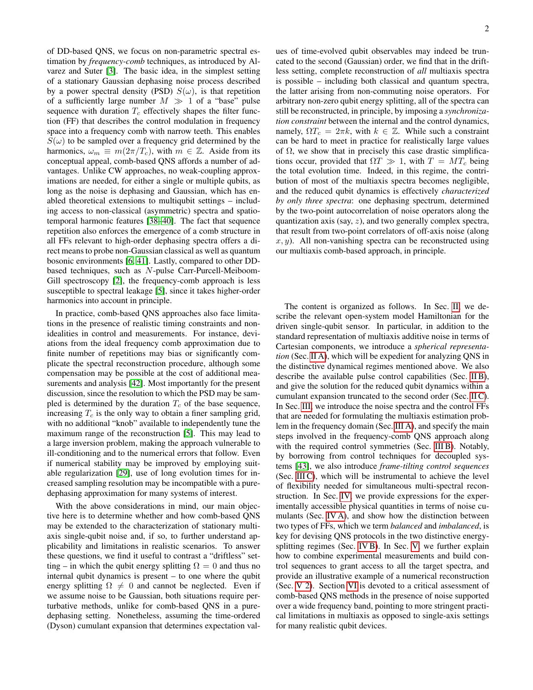of DD-based QNS, we focus on non-parametric spectral estimation by *frequency-comb* techniques, as introduced by Alvarez and Suter [\[3\]](#page-14-7). The basic idea, in the simplest setting of a stationary Gaussian dephasing noise process described by a power spectral density (PSD)  $S(\omega)$ , is that repetition of a sufficiently large number  $M \gg 1$  of a "base" pulse sequence with duration  $T_c$  effectively shapes the filter function (FF) that describes the control modulation in frequency space into a frequency comb with narrow teeth. This enables  $S(\omega)$  to be sampled over a frequency grid determined by the harmonics,  $\omega_m \equiv m(2\pi/T_c)$ , with  $m \in \mathbb{Z}$ . Aside from its conceptual appeal, comb-based QNS affords a number of advantages. Unlike CW approaches, no weak-coupling approximations are needed, for either a single or multiple qubits, as long as the noise is dephasing and Gaussian, which has enabled theoretical extensions to multiqubit settings – including access to non-classical (asymmetric) spectra and spatiotemporal harmonic features [\[38–](#page-15-21)[40\]](#page-15-22). The fact that sequence repetition also enforces the emergence of a comb structure in all FFs relevant to high-order dephasing spectra offers a direct means to probe non-Gaussian classical as well as quantum bosonic environments [\[6,](#page-14-8) [41\]](#page-15-23). Lastly, compared to other DDbased techniques, such as N-pulse Carr-Purcell-Meiboom-Gill spectroscopy [\[2\]](#page-14-1), the frequency-comb approach is less susceptible to spectral leakage [\[5\]](#page-14-9), since it takes higher-order harmonics into account in principle.

In practice, comb-based QNS approaches also face limitations in the presence of realistic timing constraints and nonidealities in control and measurements. For instance, deviations from the ideal frequency comb approximation due to finite number of repetitions may bias or significantly complicate the spectral reconstruction procedure, although some compensation may be possible at the cost of additional measurements and analysis [\[42\]](#page-15-24). Most importantly for the present discussion, since the resolution to which the PSD may be sampled is determined by the duration  $T_c$  of the base sequence, increasing  $T_c$  is the only way to obtain a finer sampling grid, with no additional "knob" available to independently tune the maximum range of the reconstruction [\[5\]](#page-14-9). This may lead to a large inversion problem, making the approach vulnerable to ill-conditioning and to the numerical errors that follow. Even if numerical stability may be improved by employing suitable regularization [\[29\]](#page-15-14), use of long evolution times for increased sampling resolution may be incompatible with a puredephasing approximation for many systems of interest.

With the above considerations in mind, our main objective here is to determine whether and how comb-based QNS may be extended to the characterization of stationary multiaxis single-qubit noise and, if so, to further understand applicability and limitations in realistic scenarios. To answer these questions, we find it useful to contrast a "driftless" setting – in which the qubit energy splitting  $\Omega = 0$  and thus no internal qubit dynamics is present – to one where the qubit energy splitting  $\Omega \neq 0$  and cannot be neglected. Even if we assume noise to be Gaussian, both situations require perturbative methods, unlike for comb-based QNS in a puredephasing setting. Nonetheless, assuming the time-ordered (Dyson) cumulant expansion that determines expectation values of time-evolved qubit observables may indeed be truncated to the second (Gaussian) order, we find that in the driftless setting, complete reconstruction of *all* multiaxis spectra is possible – including both classical and quantum spectra, the latter arising from non-commuting noise operators. For arbitrary non-zero qubit energy splitting, all of the spectra can still be reconstructed, in principle, by imposing a *synchronization constraint* between the internal and the control dynamics, namely,  $\Omega T_c = 2\pi k$ , with  $k \in \mathbb{Z}$ . While such a constraint can be hard to meet in practice for realistically large values of  $\Omega$ , we show that in precisely this case drastic simplifications occur, provided that  $\Omega T \gg 1$ , with  $T = MT_c$  being the total evolution time. Indeed, in this regime, the contribution of most of the multiaxis spectra becomes negligible, and the reduced qubit dynamics is effectively *characterized by only three spectra*: one dephasing spectrum, determined by the two-point autocorrelation of noise operators along the quantization axis (say,  $z$ ), and two generally complex spectra, that result from two-point correlators of off-axis noise (along  $x, y$ ). All non-vanishing spectra can be reconstructed using our multiaxis comb-based approach, in principle.

The content is organized as follows. In Sec. [II,](#page-2-0) we describe the relevant open-system model Hamiltonian for the driven single-qubit sensor. In particular, in addition to the standard representation of multiaxis additive noise in terms of Cartesian components, we introduce a *spherical representation* (Sec. [II A\)](#page-2-1), which will be expedient for analyzing QNS in the distinctive dynamical regimes mentioned above. We also describe the available pulse control capabilities (Sec. [II B\)](#page-2-2), and give the solution for the reduced qubit dynamics within a cumulant expansion truncated to the second order (Sec. [II C\)](#page-3-0). In Sec. [III,](#page-4-0) we introduce the noise spectra and the control FFs that are needed for formulating the multiaxis estimation problem in the frequency domain (Sec. [III A\)](#page-4-1), and specify the main steps involved in the frequency-comb QNS approach along with the required control symmetries (Sec. [III B\)](#page-5-0). Notably, by borrowing from control techniques for decoupled systems [\[43\]](#page-15-25), we also introduce *frame-tilting control sequences* (Sec. [III C\)](#page-6-0), which will be instrumental to achieve the level of flexibility needed for simultaneous multi-spectral reconstruction. In Sec. [IV,](#page-7-0) we provide expressions for the experimentally accessible physical quantities in terms of noise cumulants (Sec. [IV A\)](#page-7-1), and show how the distinction between two types of FFs, which we term *balanced* and *imbalanced*, is key for devising QNS protocols in the two distinctive energysplitting regimes (Sec. [IV B\)](#page-7-2). In Sec. [V,](#page-8-0) we further explain how to combine experimental measurements and build control sequences to grant access to all the target spectra, and provide an illustrative example of a numerical reconstruction (Sec. [V 2\)](#page-9-0). Section [VI](#page-10-0) is devoted to a critical assessment of comb-based QNS methods in the presence of noise supported over a wide frequency band, pointing to more stringent practical limitations in multiaxis as opposed to single-axis settings for many realistic qubit devices.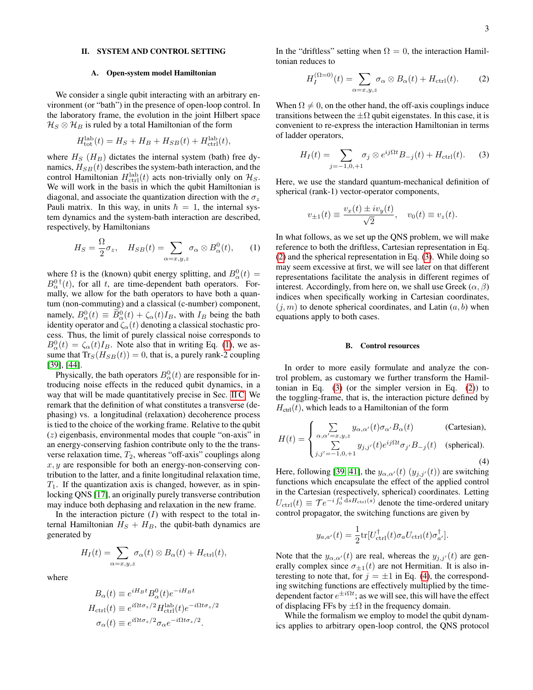# <span id="page-2-0"></span>II. SYSTEM AND CONTROL SETTING

# <span id="page-2-1"></span>A. Open-system model Hamiltonian

We consider a single qubit interacting with an arbitrary environment (or "bath") in the presence of open-loop control. In the laboratory frame, the evolution in the joint Hilbert space  $\mathcal{H}_S \otimes \mathcal{H}_B$  is ruled by a total Hamiltonian of the form

$$
H_{\text{tot}}^{\text{lab}}(t) = H_S + H_B + H_{SB}(t) + H_{\text{ctrl}}^{\text{lab}}(t),
$$

where  $H<sub>S</sub>$  ( $H<sub>B</sub>$ ) dictates the internal system (bath) free dynamics,  $H_{SB}(t)$  describes the system-bath interaction, and the control Hamiltonian  $H^{\text{lab}}_{\text{ctrl}}(t)$  acts non-trivially only on  $\mathcal{H}_S$ . We will work in the basis in which the qubit Hamiltonian is diagonal, and associate the quantization direction with the  $\sigma_z$ Pauli matrix. In this way, in units  $\hbar = 1$ , the internal system dynamics and the system-bath interaction are described, respectively, by Hamiltonians

<span id="page-2-3"></span>
$$
H_S = \frac{\Omega}{2}\sigma_z, \quad H_{SB}(t) = \sum_{\alpha=x,y,z} \sigma_\alpha \otimes B_\alpha^0(t), \qquad (1)
$$

where  $\Omega$  is the (known) qubit energy splitting, and  $B^0_\alpha(t)$  =  $B_{\alpha}^{0\dagger}(t)$ , for all t, are time-dependent bath operators. Formally, we allow for the bath operators to have both a quantum (non-commuting) and a classical (c-number) component, namely,  $B_{\alpha}^{0}(t) \equiv \tilde{B}_{\alpha}^{0}(t) + \zeta_{\alpha}(t)I_{B}$ , with  $I_{B}$  being the bath identity operator and  $\zeta_\alpha(t)$  denoting a classical stochastic process. Thus, the limit of purely classical noise corresponds to  $B_{\alpha}^{0}(t) = \zeta_{\alpha}(t)I_{B}$ . Note also that in writing Eq. [\(1\)](#page-2-3), we assume that  $Tr_S(H_{SB}(t)) = 0$ , that is, a purely rank-2 coupling [\[39\]](#page-15-26), [\[44\]](#page-15-27).

Physically, the bath operators  $B_{\alpha}^{0}(t)$  are responsible for introducing noise effects in the reduced qubit dynamics, in a way that will be made quantitatively precise in Sec. [II C.](#page-3-0) We remark that the definition of what constitutes a transverse (dephasing) vs. a longitudinal (relaxation) decoherence process is tied to the choice of the working frame. Relative to the qubit (z) eigenbasis, environmental modes that couple "on-axis" in an energy-conserving fashion contribute only to the the transverse relaxation time,  $T_2$ , whereas "off-axis" couplings along  $x, y$  are responsible for both an energy-non-conserving contribution to the latter, and a finite longitudinal relaxation time,  $T_1$ . If the quantization axis is changed, however, as in spinlocking QNS [\[17\]](#page-15-4), an originally purely transverse contribution may induce both dephasing and relaxation in the new frame.

In the interaction picture  $(I)$  with respect to the total internal Hamiltonian  $H_S + H_B$ , the qubit-bath dynamics are generated by

<span id="page-2-4"></span>
$$
H_I(t) = \sum_{\alpha=x,y,z} \sigma_{\alpha}(t) \otimes B_{\alpha}(t) + H_{\text{ctrl}}(t),
$$

where

$$
B_{\alpha}(t) \equiv e^{iH_Bt} B_{\alpha}^{0}(t) e^{-iH_Bt}
$$
  
\n
$$
H_{\text{ctrl}}(t) \equiv e^{i\Omega t \sigma_z/2} H_{\text{ctrl}}^{\text{lab}}(t) e^{-i\Omega t \sigma_z/2}
$$
  
\n
$$
\sigma_{\alpha}(t) \equiv e^{i\Omega t \sigma_z/2} \sigma_{\alpha} e^{-i\Omega t \sigma_z/2}.
$$

In the "driftless" setting when  $\Omega = 0$ , the interaction Hamiltonian reduces to

$$
H_I^{(\Omega=0)}(t) = \sum_{\alpha=x,y,z} \sigma_\alpha \otimes B_\alpha(t) + H_{\text{ctrl}}(t). \tag{2}
$$

When  $\Omega \neq 0$ , on the other hand, the off-axis couplings induce transitions between the  $\pm \Omega$  qubit eigenstates. In this case, it is convenient to re-express the interaction Hamiltonian in terms of ladder operators,

<span id="page-2-5"></span>
$$
H_I(t) = \sum_{j=-1,0,+1} \sigma_j \otimes e^{ij\Omega t} B_{-j}(t) + H_{\text{ctrl}}(t). \tag{3}
$$

Here, we use the standard quantum-mechanical definition of spherical (rank-1) vector-operator components,

$$
v_{\pm 1}(t) \equiv \frac{v_x(t) \pm iv_y(t)}{\sqrt{2}}, \quad v_0(t) \equiv v_z(t).
$$

In what follows, as we set up the QNS problem, we will make reference to both the driftless, Cartesian representation in Eq. [\(2\)](#page-2-4) and the spherical representation in Eq. [\(3\)](#page-2-5). While doing so may seem excessive at first, we will see later on that different representations facilitate the analysis in different regimes of interest. Accordingly, from here on, we shall use Greek  $(\alpha, \beta)$ indices when specifically working in Cartesian coordinates,  $(j, m)$  to denote spherical coordinates, and Latin  $(a, b)$  when equations apply to both cases.

#### <span id="page-2-2"></span>B. Control resources

In order to more easily formulate and analyze the control problem, as customary we further transform the Hamiltonian in Eq.  $(3)$  (or the simpler version in Eq.  $(2)$ ) to the toggling-frame, that is, the interaction picture defined by  $H_{\text{ctrl}}(t)$ , which leads to a Hamiltonian of the form

<span id="page-2-6"></span>
$$
H(t) = \begin{cases} \sum_{\alpha,\alpha'=x,y,z} y_{\alpha,\alpha'}(t)\sigma_{\alpha'}B_{\alpha}(t) & \text{(Cartesian)},\\ \sum_{j,j'=-1,0,+1} y_{j,j'}(t)e^{ij\Omega t}\sigma_{j'}B_{-j}(t) & \text{(spherical)}. \end{cases}
$$
(4)

Here, following [\[39,](#page-15-26) [41\]](#page-15-23), the  $y_{\alpha,\alpha'}(t)$   $(y_{j,j'}(t))$  are switching functions which encapsulate the effect of the applied control in the Cartesian (respectively, spherical) coordinates. Letting  $U_{\text{ctrl}}(t) \equiv \mathcal{T} e^{-i \int_0^t \text{d}s H_{\text{ctrl}}(s)}$  denote the time-ordered unitary control propagator, the switching functions are given by

$$
y_{a,a'}(t) = \frac{1}{2} \text{tr}[U_{\text{ctrl}}^{\dagger}(t)\sigma_a U_{\text{ctrl}}(t)\sigma_{a'}^{\dagger}].
$$

Note that the  $y_{\alpha,\alpha'}(t)$  are real, whereas the  $y_{j,j'}(t)$  are generally complex since  $\sigma_{+1}(t)$  are not Hermitian. It is also interesting to note that, for  $j = \pm 1$  in Eq. [\(4\)](#page-2-6), the corresponding switching functions are effectively multiplied by the timedependent factor  $e^{\pm i\Omega t}$ ; as we will see, this will have the effect of displacing FFs by  $\pm \Omega$  in the frequency domain.

While the formalism we employ to model the qubit dynamics applies to arbitrary open-loop control, the QNS protocol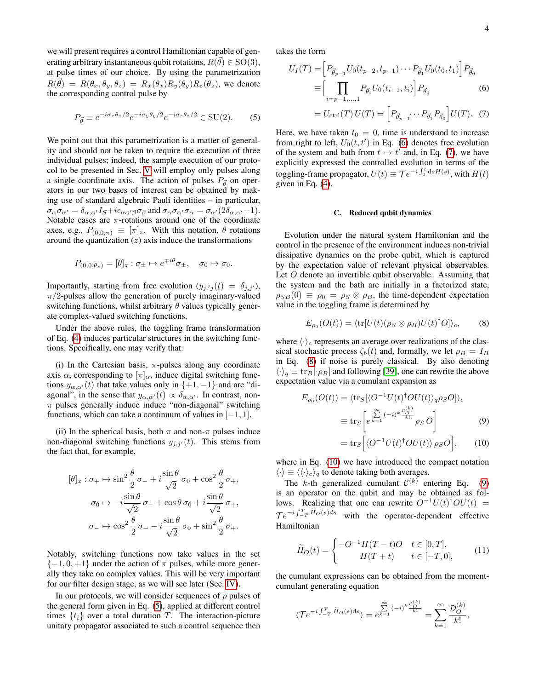we will present requires a control Hamiltonian capable of generating arbitrary instantaneous qubit rotations,  $R(\vec{\theta}) \in \mathrm{SO}(3)$ , at pulse times of our choice. By using the parametrization  $R(\vec{\theta}) = R(\theta_x, \theta_y, \theta_z) = R_x(\theta_x)R_y(\theta_y)R_z(\theta_z)$ , we denote the corresponding control pulse by

<span id="page-3-1"></span>
$$
P_{\vec{\theta}} \equiv e^{-i\sigma_x \theta_x/2} e^{-i\sigma_y \theta_y/2} e^{-i\sigma_z \theta_z/2} \in \text{SU}(2). \tag{5}
$$

We point out that this parametrization is a matter of generality and should not be taken to require the execution of three individual pulses; indeed, the sample execution of our protocol to be presented in Sec. [V](#page-8-0) will employ only pulses along a single coordinate axis. The action of pulses  $P_{\vec{p}}$  on operators in our two bases of interest can be obtained by making use of standard algebraic Pauli identities – in particular,  $\sigma_{\alpha}\sigma_{\alpha'} = \delta_{\alpha,\alpha'}I_S + i\epsilon_{\alpha\alpha'\beta}\sigma_{\beta}$  and  $\sigma_{\alpha}\sigma_{\alpha'}\sigma_{\alpha} = \sigma_{\alpha'}(2\delta_{\alpha,\alpha'}-1)$ . Notable cases are  $\pi$ -rotations around one of the coordinate axes, e.g.,  $P_{(0,0,\pi)} \equiv [\pi]_z$ . With this notation,  $\theta$  rotations around the quantization  $(z)$  axis induce the transformations

$$
P_{(0,0,\theta_z)} = [\theta]_z : \sigma_{\pm} \mapsto e^{\mp i\theta} \sigma_{\pm}, \quad \sigma_0 \mapsto \sigma_0.
$$

Importantly, starting from free evolution  $(y_{j,\text{'}j}(t) = \delta_{j,j'})$ ,  $\pi/2$ -pulses allow the generation of purely imaginary-valued switching functions, whilst arbitrary  $\theta$  values typically generate complex-valued switching functions.

Under the above rules, the toggling frame transformation of Eq. [\(4\)](#page-2-6) induces particular structures in the switching functions. Specifically, one may verify that:

(i) In the Cartesian basis,  $\pi$ -pulses along any coordinate axis  $\alpha$ , corresponding to  $[\pi]_{\alpha}$ , induce digital switching functions  $y_{\alpha,\alpha'}(t)$  that take values only in  $\{+1,-1\}$  and are "diagonal", in the sense that  $y_{\alpha,\alpha'}(t) \propto \delta_{\alpha,\alpha'}$ . In contrast, non- $\pi$  pulses generally induce induce "non-diagonal" switching functions, which can take a continuum of values in  $[-1, 1]$ .

(ii) In the spherical basis, both  $\pi$  and non- $\pi$  pulses induce non-diagonal switching functions  $y_{j,j'}(t)$ . This stems from the fact that, for example,

$$
[\theta]_x : \sigma_+ \mapsto \sin^2 \frac{\theta}{2} \sigma_- + i \frac{\sin \theta}{\sqrt{2}} \sigma_0 + \cos^2 \frac{\theta}{2} \sigma_+,
$$

$$
\sigma_0 \mapsto -i \frac{\sin \theta}{\sqrt{2}} \sigma_- + \cos \theta \sigma_0 + i \frac{\sin \theta}{\sqrt{2}} \sigma_+,
$$

$$
\sigma_- \mapsto \cos^2 \frac{\theta}{2} \sigma_- - i \frac{\sin \theta}{\sqrt{2}} \sigma_0 + \sin^2 \frac{\theta}{2} \sigma_+.
$$

Notably, switching functions now take values in the set  $\{-1, 0, +1\}$  under the action of  $\pi$  pulses, while more generally they take on complex values. This will be very important for our filter design stage, as we will see later (Sec. [IV\)](#page-7-0).

In our protocols, we will consider sequences of  $p$  pulses of the general form given in Eq. [\(5\)](#page-3-1), applied at different control times  $\{t_i\}$  over a total duration T. The interaction-picture unitary propagator associated to such a control sequence then takes the form

<span id="page-3-2"></span>
$$
U_I(T) = \left[ P_{\vec{\theta}_{p-1}} U_0(t_{p-2}, t_{p-1}) \cdots P_{\vec{\theta}_1} U_0(t_0, t_1) \right] P_{\vec{\theta}_0}
$$
  

$$
\equiv \left[ \prod_{i=p-1,...,1} P_{\vec{\theta}_i} U_0(t_{i-1}, t_i) \right] P_{\vec{\theta}_0}
$$
 (6)

$$
= U_{\text{ctrl}}(T) U(T) = \left[ P_{\vec{\theta}_{p-1}} \cdots P_{\vec{\theta}_1} P_{\vec{\theta}_0} \right] U(T). \tag{7}
$$

Here, we have taken  $t_0 = 0$ , time is understood to increase from right to left,  $U_0(t, t')$  in Eq. [\(6\)](#page-3-2) denotes free evolution of the system and bath from  $t \mapsto t'$  and, in Eq. [\(7\)](#page-3-2), we have explicitly expressed the controlled evolution in terms of the toggling-frame propagator,  $U(t) \equiv \mathcal{T} e^{-i \int_0^t ds H(s)}$ , with  $H(t)$ given in Eq. [\(4\)](#page-2-6).

# <span id="page-3-0"></span>C. Reduced qubit dynamics

Evolution under the natural system Hamiltonian and the control in the presence of the environment induces non-trivial dissipative dynamics on the probe qubit, which is captured by the expectation value of relevant physical observables. Let O denote an invertible qubit observable. Assuming that the system and the bath are initially in a factorized state,  $\rho_{SB}(0) \equiv \rho_0 = \rho_S \otimes \rho_B$ , the time-dependent expectation value in the toggling frame is determined by

<span id="page-3-3"></span>
$$
E_{\rho_0}(O(t)) = \langle \text{tr}[U(t)(\rho_S \otimes \rho_B)U(t)^\dagger O] \rangle_c, \qquad (8)
$$

where  $\langle \cdot \rangle_c$  represents an average over realizations of the classical stochastic process  $\zeta_b(t)$  and, formally, we let  $\rho_B = I_B$ in Eq. [\(8\)](#page-3-3) if noise is purely classical. By also denoting  $\langle \cdot \rangle_q \equiv \text{tr}_B[\cdot \rho_B]$  and following [\[39\]](#page-15-26), one can rewrite the above expectation value via a cumulant expansion as

<span id="page-3-4"></span>
$$
E_{\rho_0}(O(t)) = \langle \text{tr}_S[\langle O^{-1}U(t)^\dagger O U(t) \rangle_q \rho_S O] \rangle_c
$$
  

$$
\equiv \text{tr}_S \left[ e^{\sum\limits_{k=1}^\infty (-i)^k \frac{C_O^{(k)}}{k!}} \rho_S O \right]
$$
(9)

$$
= \operatorname{tr}_S \Big[ \langle O^{-1} U(t)^\dagger O U(t) \rangle \, \rho_S O \Big], \qquad (10)
$$

where in Eq.  $(10)$  we have introduced the compact notation  $\langle \cdot \rangle \equiv \langle \langle \cdot \rangle_c \rangle_q$  to denote taking both averages.

The k-th generalized cumulant  $C^{(k)}$  entering Eq. [\(9\)](#page-3-4) is an operator on the qubit and may be obtained as follows. Realizing that one can rewrite  $O^{-1}U(t)^\dagger O U(t)$  =  $\mathcal{T}e^{-i\int_{-T}^{T} \widetilde{H}_{O}(s)ds}$  with the operator-dependent effective Hamiltonian

<span id="page-3-5"></span>
$$
\widetilde{H}_O(t) = \begin{cases}\n-O^{-1}H(T-t)O & t \in [0,T], \\
H(T+t) & t \in [-T,0],\n\end{cases}
$$
\n(11)

the cumulant expressions can be obtained from the momentcumulant generating equation

$$
\langle \mathcal{T} e^{-i \int_{-T}^{T} \tilde{H}_{O}(s)ds} \rangle = e^{\sum_{k=1}^{\infty} (-i)^{k} \frac{\mathcal{C}_{O}^{(k)}}{k!}} = \sum_{k=1}^{\infty} \frac{\mathcal{D}_{O}^{(k)}}{k!},
$$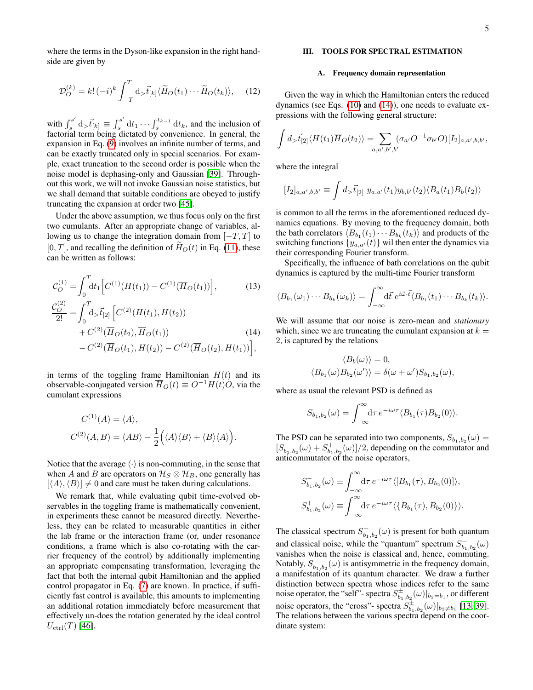where the terms in the Dyson-like expansion in the right handside are given by

<span id="page-4-3"></span>
$$
\mathcal{D}_{O}^{(k)} = k! \, (-i)^k \int_{-T}^{T} \mathrm{d}_{>} \vec{t}_{[k]} \langle \widetilde{H}_O(t_1) \cdots \widetilde{H}_O(t_k) \rangle, \tag{12}
$$

with  $\int_{s}^{s'}$  $\int_s^{s'} d$ <sub>></sub> $\vec{t}_{[k]} \equiv \int_s^{s'}$  $\int_s^{s'} dt_1 \cdots \int_s^{t_{k-1}} dt_k$ , and the inclusion of factorial term being dictated by convenience. In general, the expansion in Eq. [\(9\)](#page-3-4) involves an infinite number of terms, and can be exactly truncated only in special scenarios. For example, exact truncation to the second order is possible when the noise model is dephasing-only and Gaussian [\[39\]](#page-15-26). Throughout this work, we will not invoke Gaussian noise statistics, but we shall demand that suitable conditions are obeyed to justify truncating the expansion at order two [\[45\]](#page-15-28).

Under the above assumption, we thus focus only on the first two cumulants. After an appropriate change of variables, allowing us to change the integration domain from  $[-T, T]$  to  $[0, T]$ , and recalling the definition of  $H<sub>O</sub>(t)$  in Eq. [\(11\)](#page-3-5), these can be written as follows:

<span id="page-4-2"></span>
$$
\mathcal{C}_O^{(1)} = \int_0^T dt_1 \Big[ C^{(1)}(H(t_1)) - C^{(1)}(\overline{H}_O(t_1)) \Big],
$$
\n(13)

$$
\frac{\mathcal{C}_O^{(2)}}{2!} = \int_0^T d_5 \vec{t}_{[2]} \left[ C^{(2)}(H(t_1), H(t_2)) + C^{(2)}(\overline{H}_O(t_2), \overline{H}_O(t_1)) - C^{(2)}(\overline{H}_O(t_1), H(t_2)) - C^{(2)}(\overline{H}_O(t_2), H(t_1)) \right],
$$
\n(14)

in terms of the toggling frame Hamiltonian  $H(t)$  and its observable-conjugated version  $\overline{H}_O(t) \equiv O^{-1}H(t)O$ , via the cumulant expressions

$$
C^{(1)}(A) = \langle A \rangle,
$$
  

$$
C^{(2)}(A, B) = \langle AB \rangle - \frac{1}{2} ((A \rangle \langle B \rangle + \langle B \rangle \langle A \rangle)).
$$

Notice that the average  $\langle \cdot \rangle$  is non-commuting, in the sense that when A and B are operators on  $\mathcal{H}_S \otimes \mathcal{H}_B$ , one generally has  $[\langle A \rangle, \langle B \rangle] \neq 0$  and care must be taken during calculations.

We remark that, while evaluating qubit time-evolved observables in the toggling frame is mathematically convenient, in experiments these cannot be measured directly. Nevertheless, they can be related to measurable quantities in either the lab frame or the interaction frame (or, under resonance conditions, a frame which is also co-rotating with the carrier frequency of the control) by additionally implementing an appropriate compensating transformation, leveraging the fact that both the internal qubit Hamiltonian and the applied control propagator in Eq. [\(7\)](#page-3-2) are known. In practice, if sufficiently fast control is available, this amounts to implementing an additional rotation immediately before measurement that effectively un-does the rotation generated by the ideal control  $U_{\text{ctrl}}(T)$  [\[46\]](#page-16-0).

# <span id="page-4-0"></span>III. TOOLS FOR SPECTRAL ESTIMATION

#### <span id="page-4-1"></span>A. Frequency domain representation

Given the way in which the Hamiltonian enters the reduced dynamics (see Eqs. [\(10\)](#page-3-4) and [\(14\)](#page-4-2)), one needs to evaluate expressions with the following general structure:

$$
\int d_{\gt} \vec{t}_{[2]} \langle H(t_1) \overline{H}_O(t_2) \rangle = \sum_{a,a',b',b'} (\sigma_{a'} O^{-1} \sigma_{b'} O) [I_2]_{a,a',b,b'},
$$

where the integral

$$
[I_2]_{a,a',b,b'} \equiv \int d_{\gt} \vec{t}_{[2]} \ y_{a,a'}(t_1) y_{b,b'}(t_2) \langle B_a(t_1) B_b(t_2) \rangle
$$

is common to all the terms in the aforementioned reduced dynamics equations. By moving to the frequency domain, both the bath correlators  $\langle B_{b_1}(t_1)\cdots B_{b_k}(t_k)\rangle$  and products of the switching functions  $\{y_{a,a'}(t)\}\$  wil then enter the dynamics via their corresponding Fourier transform.

Specifically, the influence of bath correlations on the qubit dynamics is captured by the multi-time Fourier transform

$$
\langle B_{b_1}(\omega_1)\cdots B_{b_k}(\omega_k)\rangle = \int_{-\infty}^{\infty} d\vec{t} \, e^{i\vec{\omega}\cdot\vec{t}} \langle B_{b_1}(t_1)\cdots B_{b_k}(t_k)\rangle.
$$

We will assume that our noise is zero-mean and *stationary* which, since we are truncating the cumulant expansion at  $k =$ 2, is captured by the relations

$$
\langle B_b(\omega) \rangle = 0,
$$
  

$$
\langle B_{b_1}(\omega) B_{b_2}(\omega') \rangle = \delta(\omega + \omega') S_{b_1, b_2}(\omega),
$$

where as usual the relevant PSD is defined as

$$
S_{b_1,b_2}(\omega) = \int_{-\infty}^{\infty} d\tau \, e^{-i\omega\tau} \langle B_{b_1}(\tau) B_{b_2}(0) \rangle.
$$

The PSD can be separated into two components,  $S_{b_1,b_2}(\omega)$  =  $[S_{b_1,b_2}^{\dagger}(\omega) + S_{b_1,b_2}^{\dagger}(\omega)]/2$ , depending on the commutator and anticommutator of the noise operators,

$$
S_{b_1,b_2}^-(\omega) \equiv \int_{-\infty}^{\infty} d\tau \, e^{-i\omega\tau} \langle [B_{b_1}(\tau), B_{b_2}(0)] \rangle,
$$
  

$$
S_{b_1,b_2}^+(\omega) \equiv \int_{-\infty}^{\infty} d\tau \, e^{-i\omega\tau} \langle \{B_{b_1}(\tau), B_{b_2}(0)\} \rangle.
$$

The classical spectrum  $S^+_{b_1,b_2}(\omega)$  is present for both quantum and classical noise, while the "quantum" spectrum  $S_{b_1,b_2}^{-}(\omega)$ vanishes when the noise is classical and, hence, commuting. Notably,  $S_{b_1,b_2}^{\perp}(\omega)$  is antisymmetric in the frequency domain, a manifestation of its quantum character. We draw a further distinction between spectra whose indices refer to the same noise operator, the "self"- spectra  $S^{\pm}_{b_1,b_2}(\omega)|_{b_2=b_1}$ , or different noise operators, the "cross"- spectra  $S^{\pm}_{b_1,b_2}(\omega)|_{b_2\neq b_1}$  [\[13,](#page-15-0) [39\]](#page-15-26). The relations between the various spectra depend on the coordinate system: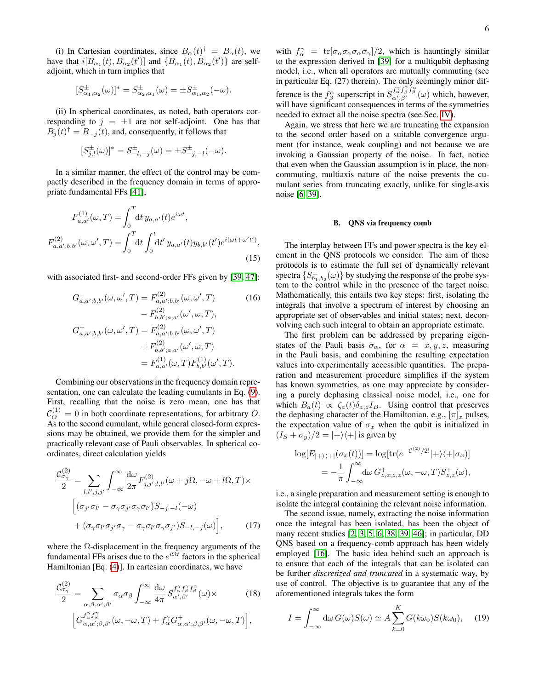(i) In Cartesian coordinates, since  $B_{\alpha}(t)^{\dagger} = B_{\alpha}(t)$ , we have that  $i[B_{\alpha_1}(t), B_{\alpha_2}(t')]$  and  $\{B_{\alpha_1}(t), B_{\alpha_2}(t')\}$  are selfadjoint, which in turn implies that

$$
[S_{\alpha_1,\alpha_2}^{\pm}(\omega)]^* = S_{\alpha_2,\alpha_1}^{\pm}(\omega) = \pm S_{\alpha_1,\alpha_2}^{\pm}(-\omega).
$$

(ii) In spherical coordinates, as noted, bath operators corresponding to  $j = \pm 1$  are not self-adjoint. One has that  $B_j(t)^{\dagger} = B_{-j}(t)$ , and, consequently, it follows that

$$
[S_{j,l}^{\pm}(\omega)]^* = S_{-l,-j}^{\pm}(\omega) = \pm S_{-j,-l}^{\pm}(-\omega).
$$

In a similar manner, the effect of the control may be compactly described in the frequency domain in terms of appropriate fundamental FFs [\[41\]](#page-15-23),

$$
F_{a,a'}^{(1)}(\omega,T) = \int_0^T dt \, y_{a,a'}(t)e^{i\omega t},
$$
  

$$
F_{a,a';b,b'}^{(2)}(\omega,\omega',T) = \int_0^T dt \int_0^t dt' \, y_{a,a'}(t)y_{b,b'}(t')e^{i(\omega t + \omega' t')},
$$
\n(15)

with associated first- and second-order FFs given by [\[39,](#page-15-26) [47\]](#page-16-1):

$$
G_{a,a';b,b'}^{-}(\omega, \omega', T) = F_{a,a';b,b'}^{(2)}(\omega, \omega', T)
$$
(16)  

$$
- F_{b,b';a,a'}^{(2)}(\omega', \omega, T),
$$
  

$$
G_{a,a';b,b'}^{+}(\omega, \omega', T) = F_{a,a';b,b'}^{(2)}(\omega, \omega', T)
$$
  

$$
+ F_{b,b';a,a'}^{(2)}(\omega', \omega, T)
$$
  

$$
= F_{a,a'}^{(1)}(\omega, T) F_{b,b'}^{(1)}(\omega', T).
$$

Combining our observations in the frequency domain representation, one can calculate the leading cumulants in Eq. [\(9\)](#page-3-4). First, recalling that the noise is zero mean, one has that  $\mathcal{C}_O^{(1)} = 0$  in both coordinate representations, for arbitrary O. As to the second cumulant, while general closed-form expressions may be obtained, we provide them for the simpler and practically relevant case of Pauli observables. In spherical coordinates, direct calculation yields

$$
\frac{\mathcal{C}_{\sigma_{\gamma}}^{(2)}}{2} = \sum_{l,l',j,j'} \int_{-\infty}^{\infty} \frac{d\omega}{2\pi} F_{j,j';l,l'}^{(2)}(\omega + j\Omega, -\omega + l\Omega, T) \times
$$

$$
\left[ (\sigma_{j'}\sigma_{l'} - \sigma_{\gamma}\sigma_{j'}\sigma_{\gamma}\sigma_{l'})S_{-j,-l}(-\omega) + (\sigma_{\gamma}\sigma_{l'}\sigma_{j'}\sigma_{\gamma} - \sigma_{\gamma}\sigma_{l'}\sigma_{\gamma}\sigma_{j'})S_{-l,-j}(\omega) \right], \qquad (17)
$$

where the  $\Omega$ -displacement in the frequency arguments of the fundamental FFs arises due to the  $e^{i\Omega t}$  factors in the spherical Hamiltonian [Eq. [\(4\)](#page-2-6)]. In cartesian coordinates, we have

$$
\frac{\mathcal{C}_{\sigma_{\gamma}}^{(2)}}{2} = \sum_{\alpha,\beta,\alpha',\beta'} \sigma_{\alpha}\sigma_{\beta} \int_{-\infty}^{\infty} \frac{d\omega}{4\pi} S_{\alpha',\beta'}^{f_{\alpha}^{\gamma}f_{\beta}^{\gamma}f_{\beta}^{\alpha}}(\omega) \times \qquad (18)
$$

$$
\left[ G_{\alpha,\alpha';\beta,\beta'}^{f_{\alpha}^{\gamma}f_{\beta}^{\gamma}}(\omega,-\omega,T) + f_{\alpha}^{\gamma}G_{\alpha,\alpha';\beta,\beta'}^{+}(\omega,-\omega,T) \right],
$$

with  $f_{\alpha}^{\gamma} = \text{tr}[\sigma_{\alpha}\sigma_{\gamma}\sigma_{\alpha}\sigma_{\gamma}]/2$ , which is hauntingly similar to the expression derived in [\[39\]](#page-15-26) for a multiqubit dephasing model, i.e., when all operators are mutually commuting (see in particular Eq. (27) therein). The only seemingly minor difference is the  $f^{\alpha}_{\beta}$  superscript in  $S^{\int_{\alpha',\beta'}^{\gamma_{\beta}}f^{\alpha}_{\beta}}(\omega)$  which, however, will have significant consequences in terms of the symmetries needed to extract all the noise spectra (see Sec. [IV\)](#page-7-0).

Again, we stress that here we are truncating the expansion to the second order based on a suitable convergence argument (for instance, weak coupling) and not because we are invoking a Gaussian property of the noise. In fact, notice that even when the Gaussian assumption is in place, the noncommuting, multiaxis nature of the noise prevents the cumulant series from truncating exactly, unlike for single-axis noise [\[6,](#page-14-8) [39\]](#page-15-26).

## <span id="page-5-0"></span>B. QNS via frequency comb

<span id="page-5-1"></span>The interplay between FFs and power spectra is the key element in the QNS protocols we consider. The aim of these protocols is to estimate the full set of dynamically relevant spectra  $\{S^\pm_{b_1,b_2}(\omega)\}$  by studying the response of the probe system to the control while in the presence of the target noise. Mathematically, this entails two key steps: first, isolating the integrals that involve a spectrum of interest by choosing an appropriate set of observables and initial states; next, deconvolving each such integral to obtain an appropriate estimate.

<span id="page-5-2"></span>The first problem can be addressed by preparing eigenstates of the Pauli basis  $\sigma_{\alpha}$ , for  $\alpha = x, y, z$ , measuring in the Pauli basis, and combining the resulting expectation values into experimentally accessible quantities. The preparation and measurement procedure simplifies if the system has known symmetries, as one may appreciate by considering a purely dephasing classical noise model, i.e., one for which  $B_a(t) \propto \zeta_a(t)\delta_{a,z}I_B$ . Using control that preserves the dephasing character of the Hamiltonian, e.g.,  $[\pi]_x$  pulses, the expectation value of  $\sigma_x$  when the qubit is initialized in  $(I<sub>S</sub> + \sigma<sub>y</sub>)/2 = |+\rangle\langle+|$  is given by

$$
\log[E_{|+\rangle\langle+|}(\sigma_x(t))] = \log[\text{tr}(e^{-\mathcal{C}^{(2)}/2!}|+\rangle\langle+|\sigma_x)]
$$
  
=  $-\frac{1}{\pi} \int_{-\infty}^{\infty} d\omega G_{z,z;z,z}^{+}(\omega, -\omega, T) S_{z,z}^{+}(\omega),$ 

i.e., a single preparation and measurement setting is enough to isolate the integral containing the relevant noise information.

<span id="page-5-4"></span>The second issue, namely, extracting the noise information once the integral has been isolated, has been the object of many recent studies [\[2,](#page-14-1) [3,](#page-14-7) [5,](#page-14-9) [6,](#page-14-8) [38,](#page-15-21) [39,](#page-15-26) [46\]](#page-16-0); in particular, DD QNS based on a frequency-comb approach has been widely employed [\[16\]](#page-15-3). The basic idea behind such an approach is to ensure that each of the integrals that can be isolated can be further *discretized and truncated* in a systematic way, by use of control. The objective is to guarantee that any of the aforementioned integrals takes the form

<span id="page-5-5"></span><span id="page-5-3"></span>
$$
I = \int_{-\infty}^{\infty} d\omega \, G(\omega) S(\omega) \simeq A \sum_{k=0}^{K} G(k\omega_0) S(k\omega_0), \quad (19)
$$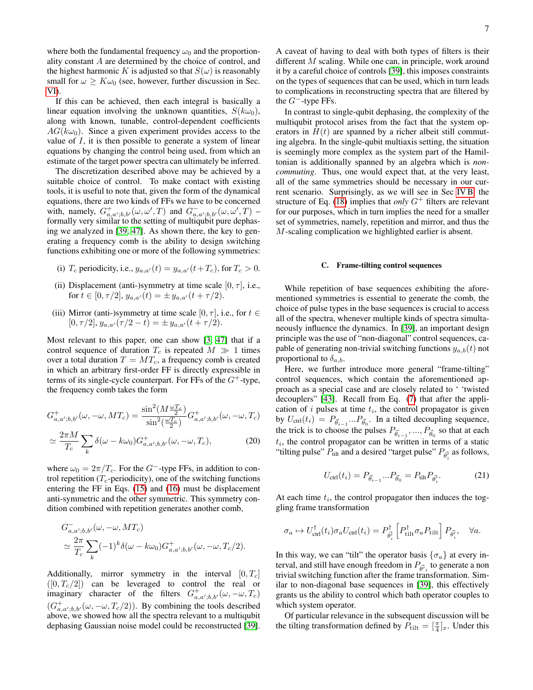where both the fundamental frequency  $\omega_0$  and the proportionality constant A are determined by the choice of control, and the highest harmonic K is adjusted so that  $S(\omega)$  is reasonably small for  $\omega \geq K \omega_0$  (see, however, further discussion in Sec. [VI\)](#page-10-0).

If this can be achieved, then each integral is basically a linear equation involving the unknown quantities,  $S(k\omega_0)$ , along with known, tunable, control-dependent coefficients  $AG(k\omega_0)$ . Since a given experiment provides access to the value of I, it is then possible to generate a system of linear equations by changing the control being used, from which an estimate of the target power spectra can ultimately be inferred.

The discretization described above may be achieved by a suitable choice of control. To make contact with existing tools, it is useful to note that, given the form of the dynamical equations, there are two kinds of FFs we have to be concerned with, namely,  $G^+_{a,a';b,b'}(\omega,\omega',T)$  and  $G^-_{a,a';b,b'}(\omega,\omega',T)$  – formally very similar to the setting of multiqubit pure dephasing we analyzed in [\[39,](#page-15-26) [47\]](#page-16-1). As shown there, the key to generating a frequency comb is the ability to design switching functions exhibiting one or more of the following symmetries:

- (i)  $T_c$  periodicity, i.e.,  $y_{a,a'}(t) = y_{a,a'}(t+T_c)$ , for  $T_c > 0$ .
- (ii) Displacement (anti-)symmetry at time scale  $[0, \tau]$ , i.e., for  $t \in [0, \tau/2], y_{a,a'}(t) = \pm y_{a,a'}(t + \tau/2).$
- (iii) Mirror (anti-)symmetry at time scale [0,  $\tau$ ], i.e., for  $t \in$  $[0, \tau/2], y_{a,a'}(\tau/2-t) = \pm y_{a,a'}(t+\tau/2).$

Most relevant to this paper, one can show [\[3,](#page-14-7) [47\]](#page-16-1) that if a control sequence of duration  $T_c$  is repeated  $M \gg 1$  times over a total duration  $T = MT_c$ , a frequency comb is created in which an arbitrary first-order FF is directly expressible in terms of its single-cycle counterpart. For FFs of the  $G^+$ -type, the frequency comb takes the form

$$
G^+_{a,a';b,b'}(\omega,-\omega,MT_c) = \frac{\sin^2(M\frac{\omega T_c}{2})}{\sin^2(\frac{\omega T_c}{2})}G^+_{a,a';b,b'}(\omega,-\omega,T_c)
$$

$$
\simeq \frac{2\pi M}{T_c} \sum_{k} \delta(\omega - k\omega_0) G_{a,a';b,b'}^{+}(\omega, -\omega, T_c), \tag{20}
$$

where  $\omega_0 = 2\pi/T_c$ . For the G<sup>-</sup>-type FFs, in addition to control repetition ( $T_c$ -periodicity), one of the switching functions entering the FF in Eqs. [\(15\)](#page-5-1) and [\(16\)](#page-5-2) must be displacement anti-symmetric and the other symmetric. This symmetry condition combined with repetition generates another comb,

$$
G_{a,a';b,b'}^{-}(\omega, -\omega, MT_c)
$$
  
\n
$$
\simeq \frac{2\pi}{T_c} \sum_{k} (-1)^k \delta(\omega - k\omega_0) G_{a,a';b,b'}^{+}(\omega, -\omega, T_c/2).
$$

Additionally, mirror symmetry in the interval  $[0, T_c]$  $([0, T_c/2])$  can be leveraged to control the real or imaginary character of the filters  $G^+_{a,a';b,b'}(\omega,-\omega,T_c)$  $(G^+_{a,a';b,b'}(\omega, -\omega, T_c/2))$ . By combining the tools described above, we showed how all the spectra relevant to a multiqubit dephasing Gaussian noise model could be reconstructed [\[39\]](#page-15-26).

A caveat of having to deal with both types of filters is their different M scaling. While one can, in principle, work around it by a careful choice of controls [\[39\]](#page-15-26), this imposes constraints on the types of sequences that can be used, which in turn leads to complications in reconstructing spectra that are filtered by the  $G^-$ -type FFs.

In contrast to single-qubit dephasing, the complexity of the multiqubit protocol arises from the fact that the system operators in  $H(t)$  are spanned by a richer albeit still commuting algebra. In the single-qubit multiaxis setting, the situation is seemingly more complex as the system part of the Hamiltonian is additionally spanned by an algebra which is *noncommuting*. Thus, one would expect that, at the very least, all of the same symmetries should be necessary in our current scenario. Surprisingly, as we will see in Sec [IV B,](#page-7-2) the structure of Eq. [\(18\)](#page-5-3) implies that *only*  $G^+$  filters are relevant for our purposes, which in turn implies the need for a smaller set of symmetries, namely, repetition and mirror, and thus the M-scaling complication we highlighted earlier is absent.

### <span id="page-6-0"></span>C. Frame-tilting control sequences

While repetition of base sequences exhibiting the aforementioned symmetries is essential to generate the comb, the choice of pulse types in the base sequences is crucial to access all of the spectra, whenever multiple kinds of spectra simultaneously influence the dynamics. In [\[39\]](#page-15-26), an important design principle was the use of "non-diagonal" control sequences, capable of generating non-trivial switching functions  $y_{a,b}(t)$  not proportional to  $\delta_{a,b}$ .

Here, we further introduce more general "frame-tilting" control sequences, which contain the aforementioned approach as a special case and are closely related to ' 'twisted decouplers" [\[43\]](#page-15-25). Recall from Eq. [\(7\)](#page-3-2) that after the application of  $i$  pulses at time  $t_i$ , the control propagator is given by  $U_{\text{ctrl}}(t_i) = P_{\vec{\theta}_{i-1}} ... P_{\vec{\theta}_0}$ . In a tilted decoupling sequence, the trick is to choose the pulses  $P_{\vec{\theta}_{i-1}}, ..., P_{\vec{\theta}_{0}}$  so that at each  $t_i$ , the control propagator can be written in terms of a static "tilting pulse"  $P_{\text{tilt}}$  and a desired "target pulse"  $P_{\vec{\theta_i}}$  as follows,

$$
U_{\text{ctrl}}(t_i) = P_{\vec{\theta}_{i-1}}...P_{\vec{\theta}_0} = P_{\text{tilt}}P_{\vec{\theta}'_i}.
$$
 (21)

<span id="page-6-1"></span>At each time  $t_i$ , the control propagator then induces the toggling frame transformation

$$
\sigma_a \mapsto U_{\text{ctrl}}^{\dagger}(t_i)\sigma_a U_{\text{ctrl}}(t_i) = P_{\vec{\theta_i}^{\dagger}}^{\dagger} \left[ P_{\text{tilt}}^{\dagger} \sigma_a P_{\text{tilt}} \right] P_{\vec{\theta_i}^{\dagger}}, \quad \forall a.
$$

In this way, we can "tilt" the operator basis  $\{\sigma_a\}$  at every interval, and still have enough freedom in  $P_{\vec{\theta'}_i}$  to generate a non trivial switching function after the frame transformation. Similar to non-diagonal base sequences in [\[39\]](#page-15-26), this effectively grants us the ability to control which bath operator couples to which system operator.

Of particular relevance in the subsequent discussion will be the tilting transformation defined by  $\overline{P}_{\text{tilt}} = \left[\frac{\pi}{4}\right]_x$ . Under this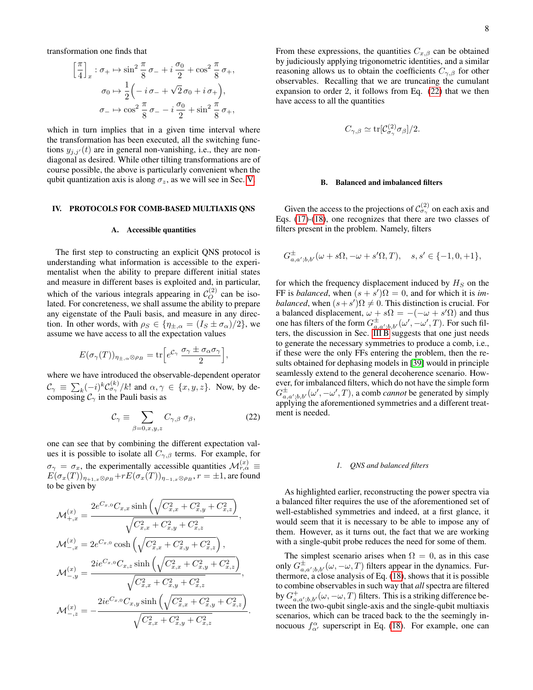transformation one finds that

$$
\left[\frac{\pi}{4}\right]_x : \sigma_+ \mapsto \sin^2 \frac{\pi}{8} \sigma_- + i \frac{\sigma_0}{2} + \cos^2 \frac{\pi}{8} \sigma_+,
$$

$$
\sigma_0 \mapsto \frac{1}{2} \left( -i \sigma_- + \sqrt{2} \sigma_0 + i \sigma_+ \right),
$$

$$
\sigma_- \mapsto \cos^2 \frac{\pi}{8} \sigma_- - i \frac{\sigma_0}{2} + \sin^2 \frac{\pi}{8} \sigma_+,
$$

which in turn implies that in a given time interval where the transformation has been executed, all the switching functions  $y_{j,j'}(t)$  are in general non-vanishing, i.e., they are nondiagonal as desired. While other tilting transformations are of course possible, the above is particularly convenient when the qubit quantization axis is along  $\sigma_z$ , as we will see in Sec. [V.](#page-8-0)

#### <span id="page-7-0"></span>IV. PROTOCOLS FOR COMB-BASED MULTIAXIS QNS

# <span id="page-7-1"></span>A. Accessible quantities

The first step to constructing an explicit QNS protocol is understanding what information is accessible to the experimentalist when the ability to prepare different initial states and measure in different bases is exploited and, in particular, which of the various integrals appearing in  $C_O^{(2)}$  can be isolated. For concreteness, we shall assume the ability to prepare any eigenstate of the Pauli basis, and measure in any direction. In other words, with  $\rho_S \in \{ \eta_{\pm,\alpha} = (I_S \pm \sigma_\alpha)/2 \}$ , we assume we have access to all the expectation values

$$
E(\sigma_\gamma(T))_{\eta_{\pm,\alpha}\otimes\rho_B} = \text{tr}\Big[e^{\mathcal{C}_\gamma} \, \frac{\sigma_\gamma \pm \sigma_\alpha \sigma_\gamma}{2}\Big],
$$

where we have introduced the observable-dependent operator  $\mathcal{C}_{\gamma} \equiv \sum_{k} (-i)^{k} \mathcal{C}_{\sigma_{\gamma}}^{(k)}/k!$  and  $\alpha, \gamma \in \{x, y, z\}$ . Now, by decomposing  $\mathcal{C}_{\gamma}$  in the Pauli basis as

<span id="page-7-3"></span>
$$
\mathcal{C}_{\gamma} \equiv \sum_{\beta=0,x,y,z} C_{\gamma,\beta} \; \sigma_{\beta},\tag{22}
$$

one can see that by combining the different expectation values it is possible to isolate all  $C_{\gamma,\beta}$  terms. For example, for  $\sigma_{\gamma} = \sigma_x$ , the experimentally accessible quantities  $\mathcal{M}_{r,\alpha}^{(x)} \equiv$  $E(\sigma_x(T))_{\eta_{+1,x}\otimes\rho_B} + rE(\sigma_x(T))_{\eta_{-1,x}\otimes\rho_B}, r = \pm 1$ , are found to be given by

$$
\mathcal{M}^{(x)}_{+,x} = \frac{2e^{C_{x,0}}C_{x,x}\sinh\left(\sqrt{C_{x,x}^2 + C_{x,y}^2 + C_{x,z}^2}\right)}{\sqrt{C_{x,x}^2 + C_{x,y}^2 + C_{x,z}^2}},
$$
\n
$$
\mathcal{M}^{(x)}_{-,x} = 2e^{C_{x,0}}\cosh\left(\sqrt{C_{x,x}^2 + C_{x,y}^2 + C_{x,z}^2}\right),
$$
\n
$$
\mathcal{M}^{(x)}_{-,y} = \frac{2ie^{C_{x,0}}C_{x,z}\sinh\left(\sqrt{C_{x,x}^2 + C_{x,y}^2 + C_{x,z}^2}\right)}{\sqrt{C_{x,x}^2 + C_{x,y}^2 + C_{x,z}^2}},
$$
\n
$$
\mathcal{M}^{(x)}_{-,z} = -\frac{2ie^{C_{x,0}}C_{x,y}\sinh\left(\sqrt{C_{x,x}^2 + C_{x,y}^2 + C_{x,z}^2}\right)}{\sqrt{C_{x,x}^2 + C_{x,y}^2 + C_{x,z}^2}}.
$$

From these expressions, the quantities  $C_{x,\beta}$  can be obtained by judiciously applying trigonometric identities, and a similar reasoning allows us to obtain the coefficients  $C_{\gamma,\beta}$  for other observables. Recalling that we are truncating the cumulant expansion to order 2, it follows from Eq. [\(22\)](#page-7-3) that we then have access to all the quantities

$$
C_{\gamma,\beta} \simeq \text{tr}[\mathcal{C}_{\sigma_{\gamma}}^{(2)} \sigma_{\beta}]/2.
$$

## <span id="page-7-2"></span>B. Balanced and imbalanced filters

Given the access to the projections of  $\mathcal{C}^{(2)}_{\sigma_{\gamma}}$  on each axis and Eqs. [\(17\)](#page-5-4)-[\(18\)](#page-5-3), one recognizes that there are two classes of filters present in the problem. Namely, filters

$$
G_{a,a';b,b'}^{\pm}(\omega+s\Omega,-\omega+s'\Omega,T), \quad s,s'\in\{-1,0,+1\},\
$$

for which the frequency displacement induced by  $H<sub>S</sub>$  on the FF is *balanced*, when  $(s + s')\Omega = 0$ , and for which it is *imbalanced*, when  $(s + s')\Omega \neq 0$ . This distinction is crucial. For a balanced displacement,  $\omega + s\Omega = -(-\omega + s'\Omega)$  and thus one has filters of the form  $G_{a,a';b,b'}^{\pm}(\omega', -\omega', T)$ . For such filters, the discussion in Sec. [III B](#page-5-0) suggests that one just needs to generate the necessary symmetries to produce a comb, i.e., if these were the only FFs entering the problem, then the results obtained for dephasing models in [\[39\]](#page-15-26) would in principle seamlessly extend to the general decoherence scenario. However, for imbalanced filters, which do not have the simple form  $G_{a,a';b,b'}^{\pm}(\omega',-\omega',T)$ , a comb *cannot* be generated by simply applying the aforementioned symmetries and a different treatment is needed.

### *1. QNS and balanced filters*

As highlighted earlier, reconstructing the power spectra via a balanced filter requires the use of the aforementioned set of well-established symmetries and indeed, at a first glance, it would seem that it is necessary to be able to impose any of them. However, as it turns out, the fact that we are working with a single-qubit probe reduces the need for some of them.

The simplest scenario arises when  $\Omega = 0$ , as in this case only  $G_{a,a^{\prime};b,b^{\prime}}^{\pm}(\omega,-\omega,T)$  filters appear in the dynamics. Furthermore, a close analysis of Eq. [\(18\)](#page-5-3), shows that it is possible to combine observables in such way that *all* spectra are filtered by  $G^+_{a,a';b,b'}(\omega,-\omega,T)$  filters. This is a striking difference between the two-qubit single-axis and the single-qubit multiaxis scenarios, which can be traced back to the the seemingly innocuous  $f^{\alpha}_{\alpha'}$  superscript in Eq. [\(18\)](#page-5-3). For example, one can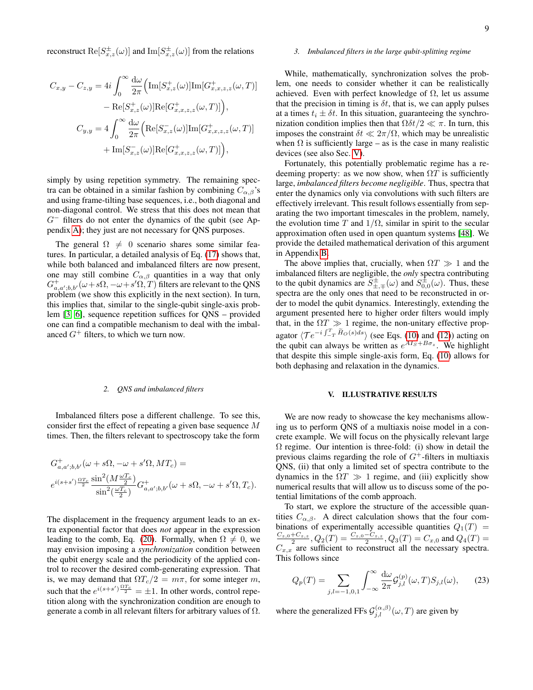reconstruct  $\text{Re}[S^{\pm}_{x,z}(\omega)]$  and  $\text{Im}[S^{\pm}_{x,z}(\omega)]$  from the relations

$$
C_{x,y} - C_{z,y} = 4i \int_0^{\infty} \frac{d\omega}{2\pi} \Big( \text{Im}[S_{x,z}^+(\omega)] \text{Im}[G_{x,x,z,z}^+(\omega, T)] - \text{Re}[S_{x,z}^+(\omega)] \text{Re}[G_{x,x,z,z}^+(\omega, T)] \Big),
$$
  

$$
C_{y,y} = 4 \int_0^{\infty} \frac{d\omega}{2\pi} \Big( \text{Re}[S_{x,z}^-(\omega)] \text{Im}[G_{x,x,z,z}^+(\omega, T)] + \text{Im}[S_{x,z}^-(\omega)] \text{Re}[G_{x,x,z,z}^+(\omega, T)] \Big),
$$

simply by using repetition symmetry. The remaining spectra can be obtained in a similar fashion by combining  $C_{\alpha,\beta}$ 's and using frame-tilting base sequences, i.e., both diagonal and non-diagonal control. We stress that this does not mean that  $G^-$  filters do not enter the dynamics of the qubit (see Appendix [A\)](#page-13-0); they just are not necessary for QNS purposes.

The general  $\Omega \neq 0$  scenario shares some similar features. In particular, a detailed analysis of Eq. [\(17\)](#page-5-4) shows that, while both balanced and imbalanced filters are now present, one may still combine  $C_{\alpha,\beta}$  quantities in a way that only  $G^+_{a,a',b,b'}(\omega+s\Omega,-\omega+s'\Omega,T)$  filters are relevant to the QNS problem (we show this explicitly in the next section). In turn, this implies that, similar to the single-qubit single-axis problem [\[3,](#page-14-7) [6\]](#page-14-8), sequence repetition suffices for QNS – provided one can find a compatible mechanism to deal with the imbalanced  $G^+$  filters, to which we turn now.

### <span id="page-8-2"></span>*2. QNS and imbalanced filters*

Imbalanced filters pose a different challenge. To see this, consider first the effect of repeating a given base sequence M times. Then, the filters relevant to spectroscopy take the form

$$
\begin{split} &G_{a,a';b,b'}^+(\omega+s\Omega,-\omega+s'\Omega,MT_c)=\\ &e^{i(s+s')\frac{\Omega T_c}{2}}\frac{\sin^2(M\frac{\omega T_c}{2})}{\sin^2(\frac{\omega T_c}{2})}G_{a,a';b,b'}^+(\omega+s\Omega,-\omega+s'\Omega,T_c). \end{split}
$$

The displacement in the frequency argument leads to an extra exponential factor that does *not* appear in the expression leading to the comb, Eq. [\(20\)](#page-6-1). Formally, when  $\Omega \neq 0$ , we may envision imposing a *synchronization* condition between the qubit energy scale and the periodicity of the applied control to recover the desired comb-generating expression. That is, we may demand that  $\Omega T_c/2 = m\pi$ , for some integer m, such that the  $e^{i(s+s')\frac{\Omega T_c}{2}} = \pm 1$ . In other words, control repetition along with the synchronization condition are enough to generate a comb in all relevant filters for arbitrary values of  $\Omega$ .

## *3. Imbalanced filters in the large qubit-splitting regime*

While, mathematically, synchronization solves the problem, one needs to consider whether it can be realistically achieved. Even with perfect knowledge of  $\Omega$ , let us assume that the precision in timing is  $\delta t$ , that is, we can apply pulses at a times  $t_i \pm \delta t$ . In this situation, guaranteeing the synchronization condition implies then that  $\Omega \delta t / 2 \ll \pi$ . In turn, this imposes the constraint  $\delta t \ll 2\pi/\Omega$ , which may be unrealistic when  $\Omega$  is sufficiently large – as is the case in many realistic devices (see also Sec. [V\)](#page-8-0).

Fortunately, this potentially problematic regime has a redeeming property: as we now show, when  $\Omega T$  is sufficiently large, *imbalanced filters become negligible*. Thus, spectra that enter the dynamics only via convolutions with such filters are effectively irrelevant. This result follows essentially from separating the two important timescales in the problem, namely, the evolution time T and  $1/\Omega$ , similar in spirit to the secular approximation often used in open quantum systems [\[48\]](#page-16-2). We provide the detailed mathematical derivation of this argument in Appendix [B.](#page-13-1)

The above implies that, crucially, when  $\Omega T \gg 1$  and the imbalanced filters are negligible, the *only* spectra contributing to the qubit dynamics are  $\overline{S}_{\pm,\mp}^{\pm}(\omega)$  and  $S_{0,0}^{\pm}(\omega)$ . Thus, these spectra are the only ones that need to be reconstructed in order to model the qubit dynamics. Interestingly, extending the argument presented here to higher order filters would imply that, in the  $\Omega T \gg 1$  regime, the non-unitary effective propagator  $\langle \mathcal{T}e^{-i\int_{-T}^{T} \tilde{H}_{O}(s)ds} \rangle$  (see Eqs. [\(10\)](#page-3-4) and [\(12\)](#page-4-3)) acting on the qubit can always be written as  $e^{A I_s + B \sigma_z}$ . We highlight that despite this simple single-axis form, Eq. [\(10\)](#page-3-4) allows for both dephasing and relaxation in the dynamics.

#### <span id="page-8-0"></span>V. ILLUSTRATIVE RESULTS

We are now ready to showcase the key mechanisms allowing us to perform QNS of a multiaxis noise model in a concrete example. We will focus on the physically relevant large  $\Omega$  regime. Our intention is three-fold: (i) show in detail the previous claims regarding the role of  $G^+$ -filters in multiaxis QNS, (ii) that only a limited set of spectra contribute to the dynamics in the  $\Omega T \gg 1$  regime, and (iii) explicitly show numerical results that will allow us to discuss some of the potential limitations of the comb approach.

To start, we explore the structure of the accessible quantities  $C_{\alpha,\beta}$ . A direct calculation shows that the four combinations of experimentally accessible quantities  $Q_1(T) = C_{z,0} + C_{z,z}$ ,  $Q_2(T) = \frac{C_{z,0} - C_{z,z}}{2}$ ,  $Q_3(T) = C_{x,0}$  and  $Q_4(T) = C_{z,0}$  $C_{x,x}$  are sufficient to reconstruct all the necessary spectra. This follows since

<span id="page-8-1"></span>
$$
Q_p(T) = \sum_{j,l=-1,0,1} \int_{-\infty}^{\infty} \frac{d\omega}{2\pi} \mathcal{G}_{j,l}^{(p)}(\omega, T) S_{j,l}(\omega), \qquad (23)
$$

where the generalized FFs  $\mathcal{G}_{j,l}^{(\alpha,\beta)}(\omega,T)$  are given by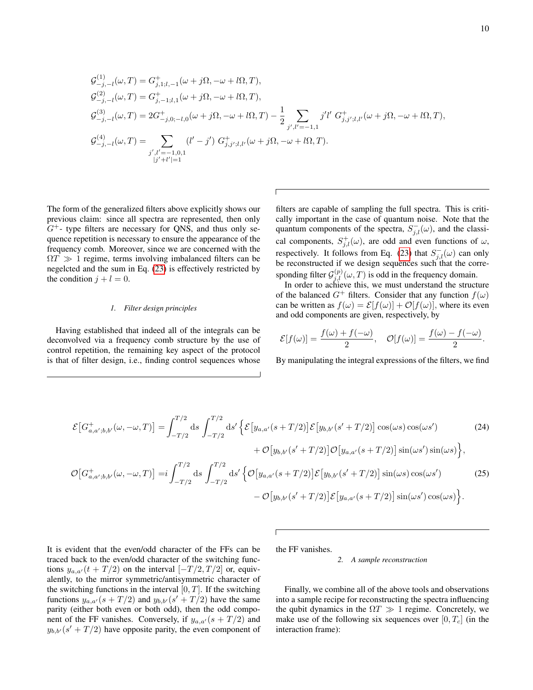$$
\begin{split} &\mathcal{G}^{(1)}_{-j,-l}(\omega,T)=G^+_{j,1;l,-1}(\omega+j\Omega,-\omega+l\Omega,T),\\ &\mathcal{G}^{(2)}_{-j,-l}(\omega,T)=G^+_{j,-1;l,1}(\omega+j\Omega,-\omega+l\Omega,T),\\ &\mathcal{G}^{(3)}_{-j,-l}(\omega,T)=2G^+_{-j,0;-l,0}(\omega+j\Omega,-\omega+l\Omega,T)-\frac{1}{2}\sum_{j',l'=-1,1}j'l'\;G^+_{j,j';l,l'}(\omega+j\Omega,-\omega+l\Omega,T),\\ &\mathcal{G}^{(4)}_{-j,-l}(\omega,T)=\sum_{\substack{j',l'=-1,0,1\\|j'+l'|=1}}(l'-j')\;G^+_{j,j';l,l'}(\omega+j\Omega,-\omega+l\Omega,T). \end{split}
$$

The form of the generalized filters above explicitly shows our previous claim: since all spectra are represented, then only  $G^+$ - type filters are necessary for QNS, and thus only sequence repetition is necessary to ensure the appearance of the frequency comb. Moreover, since we are concerned with the  $\Omega T \gg 1$  regime, terms involving imbalanced filters can be negelcted and the sum in Eq. [\(23\)](#page-8-1) is effectively restricted by the condition  $j + l = 0$ .

## *1. Filter design principles*

Having established that indeed all of the integrals can be deconvolved via a frequency comb structure by the use of control repetition, the remaining key aspect of the protocol is that of filter design, i.e., finding control sequences whose

filters are capable of sampling the full spectra. This is critically important in the case of quantum noise. Note that the quantum components of the spectra,  $S_{j,l}^-(\omega)$ , and the classical components,  $S_{j,l}^{+}(\omega)$ , are odd and even functions of  $\omega$ , respectively. It follows from Eq. [\(23\)](#page-8-1) that  $S_{j,l}^-(\omega)$  can only be reconstructed if we design sequences such that the corresponding filter  $\mathcal{G}_{j,l}^{(p)}(\omega,T)$  is odd in the frequency domain.

In order to achieve this, we must understand the structure of the balanced  $G^+$  filters. Consider that any function  $f(\omega)$ can be written as  $f(\omega) = \mathcal{E}[f(\omega)] + \mathcal{O}[f(\omega)]$ , where its even and odd components are given, respectively, by

$$
\mathcal{E}[f(\omega)] = \frac{f(\omega) + f(-\omega)}{2}, \quad \mathcal{O}[f(\omega)] = \frac{f(\omega) - f(-\omega)}{2}.
$$

By manipulating the integral expressions of the filters, we find

$$
\mathcal{E}\left[G_{a,a';b,b'}^{+}(\omega,-\omega,T)\right] = \int_{-T/2}^{T/2} ds \int_{-T/2}^{T/2} ds' \left\{ \mathcal{E}\left[y_{a,a'}(s+T/2)\right] \mathcal{E}\left[y_{b,b'}(s'+T/2)\right] \cos(\omega s) \cos(\omega s') \right.\n\left.\n+ \mathcal{O}\left[y_{b,b'}(s'+T/2)\right] \mathcal{O}\left[y_{a,a'}(s+T/2)\right] \sin(\omega s') \sin(\omega s) \right\},
$$
\n(24)

$$
\mathcal{O}[G_{a,a';b,b'}^+(\omega,-\omega,T)] = i \int_{-T/2}^{T/2} ds \int_{-T/2}^{T/2} ds' \left\{ \mathcal{O}[y_{a,a'}(s+T/2)] \mathcal{E}[y_{b,b'}(s'+T/2)] \sin(\omega s) \cos(\omega s') - \mathcal{O}[y_{b,b'}(s'+T/2)] \mathcal{E}[y_{a,a'}(s+T/2)] \sin(\omega s') \cos(\omega s) \right\}.
$$
 (25)

It is evident that the even/odd character of the FFs can be traced back to the even/odd character of the switching functions  $y_{a,a'}(t+T/2)$  on the interval  $[-T/2,T/2]$  or, equivalently, to the mirror symmetric/antisymmetric character of the switching functions in the interval  $[0, T]$ . If the switching functions  $y_{a,a}(s+T/2)$  and  $y_{b,b}(s'+T/2)$  have the same parity (either both even or both odd), then the odd component of the FF vanishes. Conversely, if  $y_{a,a'}(s + T/2)$  and  $y_{b,b}$  (s' + T/2) have opposite parity, the even component of

the FF vanishes.

#### <span id="page-9-0"></span>*2. A sample reconstruction*

Finally, we combine all of the above tools and observations into a sample recipe for reconstructing the spectra influencing the qubit dynamics in the  $\Omega T \gg 1$  regime. Concretely, we make use of the following six sequences over  $[0, T_c]$  (in the interaction frame):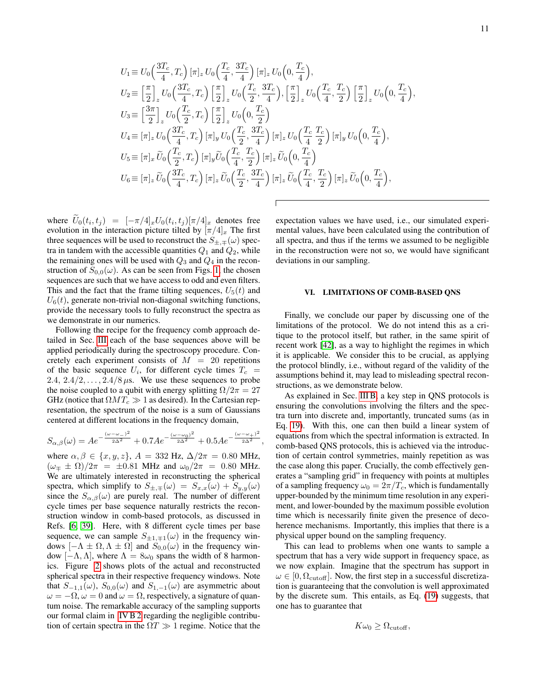$$
U_{1} \equiv U_{0} \left( \frac{3T_{c}}{4}, T_{c} \right) [\pi]_{z} U_{0} \left( \frac{T_{c}}{4}, \frac{3T_{c}}{4} \right) [\pi]_{z} U_{0} \left( 0, \frac{T_{c}}{4} \right),
$$
  
\n
$$
U_{2} \equiv \left[ \frac{\pi}{2} \right]_{z} U_{0} \left( \frac{3T_{c}}{4}, T_{c} \right) \left[ \frac{\pi}{2} \right]_{z} U_{0} \left( \frac{T_{c}}{2}, \frac{3T_{c}}{4} \right), \left[ \frac{\pi}{2} \right]_{z} U_{0} \left( \frac{T_{c}}{4}, \frac{T_{c}}{2} \right) \left[ \frac{\pi}{2} \right]_{z} U_{0} \left( 0, \frac{T_{c}}{4} \right),
$$
  
\n
$$
U_{3} \equiv \left[ \frac{3\pi}{2} \right]_{z} U_{0} \left( \frac{T_{c}}{2}, T_{c} \right) \left[ \frac{\pi}{2} \right]_{z} U_{0} \left( 0, \frac{T_{c}}{2} \right)
$$
  
\n
$$
U_{4} \equiv [\pi]_{z} U_{0} \left( \frac{3T_{c}}{4}, T_{c} \right) [\pi]_{y} U_{0} \left( \frac{T_{c}}{2}, \frac{3T_{c}}{4} \right) [\pi]_{z} U_{0} \left( \frac{T_{c}}{4}, \frac{T_{c}}{2} \right) [\pi]_{y} U_{0} \left( 0, \frac{T_{c}}{4} \right),
$$
  
\n
$$
U_{5} \equiv [\pi]_{x} \widetilde{U}_{0} \left( \frac{T_{c}}{2}, T_{c} \right) [\pi]_{y} \widetilde{U}_{0} \left( \frac{T_{c}}{4}, \frac{T_{c}}{2} \right) [\pi]_{z} \widetilde{U}_{0} \left( 0, \frac{T_{c}}{4} \right)
$$
  
\n
$$
U_{6} \equiv [\pi]_{z} \widetilde{U}_{0} \left( \frac{3T_{c}}{4}, T_{c} \right) [\pi]_{z} \widetilde{U}_{0} \left( \frac{T_{c}}{2}, \frac{3T_{c}}{4} \right) [\pi]_{z} \widetilde{U}_{0} \
$$

where  $U_0(t_i, t_j) = [-\pi/4]_x U_0(t_i, t_j) [\pi/4]_x$  denotes free evolution in the interaction picture tilted by  $[\pi/4]_x$ . The first three sequences will be used to reconstruct the  $S_{\pm,\mp}(\omega)$  spectra in tandem with the accessible quantities  $Q_1$  and  $Q_2$ , while the remaining ones will be used with  $Q_3$  and  $Q_4$  in the reconstruction of  $S_{0,0}(\omega)$ . As can be seen from Figs. [1,](#page-11-0) the chosen sequences are such that we have access to odd and even filters. This and the fact that the frame tilting sequences,  $U_5(t)$  and  $U_6(t)$ , generate non-trivial non-diagonal switching functions, provide the necessary tools to fully reconstruct the spectra as we demonstrate in our numerics.

Following the recipe for the frequency comb approach detailed in Sec. [III](#page-4-0) each of the base sequences above will be applied periodically during the spectroscopy procedure. Concretely each experiment consists of  $M = 20$  repetitions of the basic sequence  $U_i$ , for different cycle times  $T_c$  = 2.4,  $2.4/2, \ldots, 2.4/8 \mu s$ . We use these sequences to probe the noise coupled to a qubit with energy splitting  $\Omega/2\pi = 27$ GHz (notice that  $\Omega M T_c \gg 1$  as desired). In the Cartesian representation, the spectrum of the noise is a sum of Gaussians centered at different locations in the frequency domain,

$$
S_{\alpha,\beta}(\omega) = Ae^{-\frac{(\omega - \omega_{-})^2}{2\Delta^2}} + 0.7Ae^{-\frac{(\omega - \omega_0)^2}{2\Delta^2}} + 0.5Ae^{-\frac{(\omega - \omega_{+})^2}{2\Delta^2}},
$$

where  $\alpha, \beta \in \{x, y, z\}, A = 332 \text{ Hz}, \Delta/2\pi = 0.80 \text{ MHz},$  $(\omega_{\pm} \pm \Omega)/2\pi = \pm 0.81$  MHz and  $\omega_0/2\pi = 0.80$  MHz. We are ultimately interested in reconstructing the spherical spectra, which simplify to  $S_{\pm,\mp}(\omega) = S_{x,x}(\omega) + S_{y,y}(\omega)$ since the  $S_{\alpha,\beta}(\omega)$  are purely real. The number of different cycle times per base sequence naturally restricts the reconstruction window in comb-based protocols, as discussed in Refs. [\[6,](#page-14-8) [39\]](#page-15-26). Here, with 8 different cycle times per base sequence, we can sample  $S_{\pm 1,\mp 1}(\omega)$  in the frequency windows  $[-\Lambda \pm \Omega, \Lambda \pm \Omega]$  and  $S_{0,0}(\omega)$  in the frequency window  $[-\Lambda, \Lambda]$ , where  $\Lambda = 8\omega_0$  spans the width of 8 harmonics. Figure [2](#page-11-1) shows plots of the actual and reconstructed spherical spectra in their respective frequency windows. Note that  $S_{-1,1}(\omega)$ ,  $S_{0,0}(\omega)$  and  $S_{1,-1}(\omega)$  are asymmetric about  $\omega = -\Omega$ ,  $\omega = 0$  and  $\omega = \Omega$ , respectively, a signature of quantum noise. The remarkable accuracy of the sampling supports our formal claim in [IV B 2](#page-8-2) regarding the negligible contribution of certain spectra in the  $\Omega T \gg 1$  regime. Notice that the

expectation values we have used, i.e., our simulated experimental values, have been calculated using the contribution of all spectra, and thus if the terms we assumed to be negligible in the reconstruction were not so, we would have significant deviations in our sampling.

# <span id="page-10-0"></span>VI. LIMITATIONS OF COMB-BASED QNS

Finally, we conclude our paper by discussing one of the limitations of the protocol. We do not intend this as a critique to the protocol itself, but rather, in the same spirit of recent work [\[42\]](#page-15-24), as a way to highlight the regimes in which it is applicable. We consider this to be crucial, as applying the protocol blindly, i.e., without regard of the validity of the assumptions behind it, may lead to misleading spectral reconstructions, as we demonstrate below.

As explained in Sec. [III B,](#page-5-0) a key step in QNS protocols is ensuring the convolutions involving the filters and the spectra turn into discrete and, importantly, truncated sums (as in Eq. [19\)](#page-5-5). With this, one can then build a linear system of equations from which the spectral information is extracted. In comb-based QNS protocols, this is achieved via the introduction of certain control symmetries, mainly repetition as was the case along this paper. Crucially, the comb effectively generates a "sampling grid" in frequency with points at multiples of a sampling frequency  $\omega_0 = 2\pi/T_c$ , which is fundamentally upper-bounded by the minimum time resolution in any experiment, and lower-bounded by the maximum possible evolution time which is necessarily finite given the presence of decoherence mechanisms. Importantly, this implies that there is a physical upper bound on the sampling frequency.

This can lead to problems when one wants to sample a spectrum that has a very wide support in frequency space, as we now explain. Imagine that the spectrum has support in  $\omega \in [0, \Omega_{\text{cutoff}}]$ . Now, the first step in a successful discretization is guaranteeing that the convolution is well approximated by the discrete sum. This entails, as Eq. [\(19\)](#page-5-5) suggests, that one has to guarantee that

$$
K\omega_0 \geq \Omega_{\rm cutoff},
$$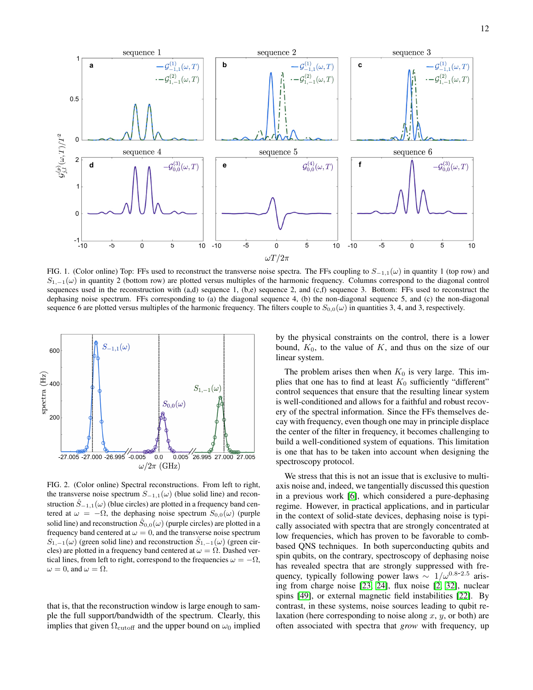

<span id="page-11-0"></span>FIG. 1. (Color online) Top: FFs used to reconstruct the transverse noise spectra. The FFs coupling to  $S_{-1,1}(\omega)$  in quantity 1 (top row) and  $S_{1,-1}(\omega)$  in quantity 2 (bottom row) are plotted versus multiples of the harmonic frequency. Columns correspond to the diagonal control sequences used in the reconstruction with  $(a,d)$  sequence 1,  $(b,e)$  sequence 2, and  $(c,f)$  sequence 3. Bottom: FFs used to reconstruct the dephasing noise spectrum. FFs corresponding to (a) the diagonal sequence 4, (b) the non-diagonal sequence 5, and (c) the non-diagonal sequence 6 are plotted versus multiples of the harmonic frequency. The filters couple to  $S_{0,0}(\omega)$  in quantities 3, 4, and 3, respectively.



<span id="page-11-1"></span>FIG. 2. (Color online) Spectral reconstructions. From left to right, the transverse noise spectrum  $S_{-1,1}(\omega)$  (blue solid line) and reconstruction  $\hat{S}_{-1,1}(\omega)$  (blue circles) are plotted in a frequency band centered at  $\omega = -\Omega$ , the dephasing noise spectrum  $S_{0,0}(\omega)$  (purple solid line) and reconstruction  $\ddot{S}_{0,0}(\omega)$  (purple circles) are plotted in a frequency band centered at  $\omega = 0$ , and the transverse noise spectrum  $S_{1,-1}(\omega)$  (green solid line) and reconstruction  $S_{1,-1}(\omega)$  (green circles) are plotted in a frequency band centered at  $\omega = \Omega$ . Dashed vertical lines, from left to right, correspond to the frequencies  $\omega = -\Omega$ ,  $\omega = 0$ , and  $\omega = \Omega$ .

that is, that the reconstruction window is large enough to sample the full support/bandwidth of the spectrum. Clearly, this implies that given  $\Omega_{\text{cutoff}}$  and the upper bound on  $\omega_0$  implied

by the physical constraints on the control, there is a lower bound,  $K_0$ , to the value of K, and thus on the size of our linear system.

The problem arises then when  $K_0$  is very large. This implies that one has to find at least  $K_0$  sufficiently "different" control sequences that ensure that the resulting linear system is well-conditioned and allows for a faithful and robust recovery of the spectral information. Since the FFs themselves decay with frequency, even though one may in principle displace the center of the filter in frequency, it becomes challenging to build a well-conditioned system of equations. This limitation is one that has to be taken into account when designing the spectroscopy protocol.

We stress that this is not an issue that is exclusive to multiaxis noise and, indeed, we tangentially discussed this question in a previous work [\[6\]](#page-14-8), which considered a pure-dephasing regime. However, in practical applications, and in particular in the context of solid-state devices, dephasing noise is typically associated with spectra that are strongly concentrated at low frequencies, which has proven to be favorable to combbased QNS techniques. In both superconducting qubits and spin qubits, on the contrary, spectroscopy of dephasing noise has revealed spectra that are strongly suppressed with frequency, typically following power laws  $\sim 1/\omega^{0.8-2.5}$  arising from charge noise [\[23,](#page-15-29) [24\]](#page-15-9), flux noise [\[2,](#page-14-1) [32\]](#page-15-16), nuclear spins [\[49\]](#page-16-3), or external magnetic field instabilities [\[22\]](#page-15-8). By contrast, in these systems, noise sources leading to qubit relaxation (here corresponding to noise along x, y, or both) are often associated with spectra that *grow* with frequency, up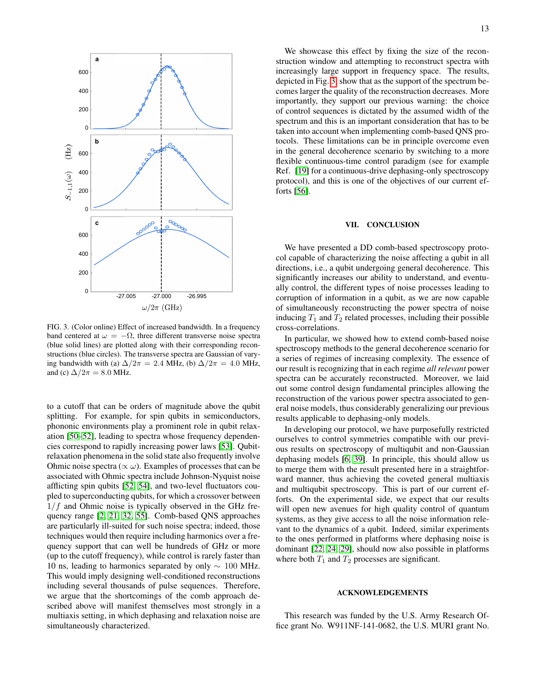

<span id="page-12-0"></span>FIG. 3. (Color online) Effect of increased bandwidth. In a frequency band centered at  $\omega = -\Omega$ , three different transverse noise spectra (blue solid lines) are plotted along with their corresponding reconstructions (blue circles). The transverse spectra are Gaussian of varying bandwidth with (a)  $\Delta/2\pi = 2.4$  MHz, (b)  $\Delta/2\pi = 4.0$  MHz, and (c)  $\Delta/2\pi = 8.0$  MHz.

to a cutoff that can be orders of magnitude above the qubit splitting. For example, for spin qubits in semiconductors, phononic environments play a prominent role in qubit relaxation [\[50–](#page-16-4)[52\]](#page-16-5), leading to spectra whose frequency dependencies correspond to rapidly increasing power laws [\[53\]](#page-16-6). Qubitrelaxation phenomena in the solid state also frequently involve Ohmic noise spectra ( $\propto \omega$ ). Examples of processes that can be associated with Ohmic spectra include Johnson-Nyquist noise afflicting spin qubits [\[52,](#page-16-5) [54\]](#page-16-7), and two-level fluctuators coupled to superconducting qubits, for which a crossover between  $1/f$  and Ohmic noise is typically observed in the GHz frequency range [\[2,](#page-14-1) [21,](#page-15-7) [32,](#page-15-16) [55\]](#page-16-8). Comb-based QNS approaches are particularly ill-suited for such noise spectra; indeed, those techniques would then require including harmonics over a frequency support that can well be hundreds of GHz or more (up to the cutoff frequency), while control is rarely faster than 10 ns, leading to harmonics separated by only ∼ 100 MHz. This would imply designing well-conditioned reconstructions including several thousands of pulse sequences. Therefore, we argue that the shortcomings of the comb approach described above will manifest themselves most strongly in a multiaxis setting, in which dephasing and relaxation noise are simultaneously characterized.

We showcase this effect by fixing the size of the reconstruction window and attempting to reconstruct spectra with increasingly large support in frequency space. The results, depicted in Fig. [3,](#page-12-0) show that as the support of the spectrum becomes larger the quality of the reconstruction decreases. More importantly, they support our previous warning: the choice of control sequences is dictated by the assumed width of the spectrum and this is an important consideration that has to be taken into account when implementing comb-based QNS protocols. These limitations can be in principle overcome even in the general decoherence scenario by switching to a more flexible continuous-time control paradigm (see for example Ref. [\[19\]](#page-15-5) for a continuous-drive dephasing-only spectroscopy protocol), and this is one of the objectives of our current efforts [\[56\]](#page-16-9).

#### VII. CONCLUSION

We have presented a DD comb-based spectroscopy protocol capable of characterizing the noise affecting a qubit in all directions, i.e., a qubit undergoing general decoherence. This significantly increases our ability to understand, and eventually control, the different types of noise processes leading to corruption of information in a qubit, as we are now capable of simultaneously reconstructing the power spectra of noise inducing  $T_1$  and  $T_2$  related processes, including their possible cross-correlations.

In particular, we showed how to extend comb-based noise spectroscopy methods to the general decoherence scenario for a series of regimes of increasing complexity. The essence of our result is recognizing that in each regime *all relevant* power spectra can be accurately reconstructed. Moreover, we laid out some control design fundamental principles allowing the reconstruction of the various power spectra associated to general noise models, thus considerably generalizing our previous results applicable to dephasing-only models.

In developing our protocol, we have purposefully restricted ourselves to control symmetries compatible with our previous results on spectroscopy of multiqubit and non-Gaussian dephasing models [\[6,](#page-14-8) [39\]](#page-15-26). In principle, this should allow us to merge them with the result presented here in a straightforward manner, thus achieving the coveted general multiaxis and multiqubit spectroscopy. This is part of our current efforts. On the experimental side, we expect that our results will open new avenues for high quality control of quantum systems, as they give access to all the noise information relevant to the dynamics of a qubit. Indeed, similar experiments to the ones performed in platforms where dephasing noise is dominant [\[22,](#page-15-8) [24,](#page-15-9) [29\]](#page-15-14), should now also possible in platforms where both  $T_1$  and  $T_2$  processes are significant.

### ACKNOWLEDGEMENTS

This research was funded by the U.S. Army Research Office grant No. W911NF-141-0682, the U.S. MURI grant No.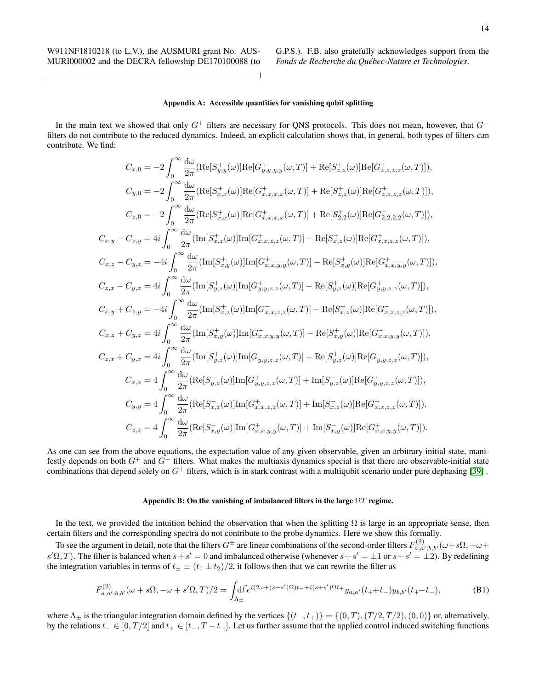W911NF1810218 (to L.V.), the AUSMURI grant No. AUS-MURI000002 and the DECRA fellowship DE170100088 (to G.P.S.). F.B. also gratefully acknowledges support from the *Fonds de Recherche du Quebec-Nature et Technologies ´* .

# <span id="page-13-0"></span>Appendix A: Accessible quantities for vanishing qubit splitting

In the main text we showed that only  $G^+$  filters are necessary for QNS protocols. This does not mean, however, that  $G^$ filters do not contribute to the reduced dynamics. Indeed, an explicit calculation shows that, in general, both types of filters can contribute. We find:

$$
C_{x,0} = -2 \int_{0}^{\infty} \frac{d\omega}{2\pi} (\text{Re}[S_{y,y}^{+}(\omega)] \text{Re}[G_{y,y,y,y}^{+}(\omega, T)] + \text{Re}[S_{z,z}^{+}(\omega)] \text{Re}[G_{z,z,z,z}^{+}(\omega, T)]),
$$
  
\n
$$
C_{y,0} = -2 \int_{0}^{\infty} \frac{d\omega}{2\pi} (\text{Re}[S_{x,x}^{+}(\omega)] \text{Re}[G_{x,x,x,x}^{+}(\omega, T)] + \text{Re}[S_{z,z}^{+}(\omega)] \text{Re}[G_{z,z,z,z}^{+}(\omega, T)]),
$$
  
\n
$$
C_{z,0} = -2 \int_{0}^{\infty} \frac{d\omega}{2\pi} (\text{Re}[S_{x,x}^{+}(\omega)] \text{Re}[G_{x,x,x,x}^{+}(\omega, T)] + \text{Re}[S_{z,z}^{+}(\omega)] \text{Re}[G_{z,z,z,z}^{+}(\omega, T)]),
$$
  
\n
$$
C_{x,y} - C_{z,y} = 4i \int_{0}^{\infty} \frac{d\omega}{2\pi} (\text{Im}[S_{x,z}^{+}(\omega)] \text{Im}[G_{x,x,z,z}^{+}(\omega, T)] - \text{Re}[S_{x,z}^{+}(\omega)] \text{Re}[G_{x,x,z,z}^{+}(\omega, T)]),
$$
  
\n
$$
C_{x,z} - C_{y,z} = -4i \int_{0}^{\infty} \frac{d\omega}{2\pi} (\text{Im}[S_{x,z}^{+}(\omega)] \text{Im}[G_{y,y,z,z}^{+}(\omega, T)] - \text{Re}[S_{x,y}^{+}(\omega)] \text{Re}[G_{x,x,y,y}^{+}(\omega, T)]),
$$
  
\n
$$
C_{x,x} - C_{y,x} = 4i \int_{0}^{\infty} \frac{d\omega}{2\pi} (\text{Im}[S_{x,z}^{+}(\omega)] \text{Im}[G_{x,x,z,z}^{-}(\omega, T)] - \text{Re}[S_{y,z}^{+}(\omega)] \text{Re}[G_{y,y,z,z}^{-}(\omega, T)]),
$$
  
\n
$$
C_{x,y} + C_{z,y} = -4i \int_{0}^{\infty} \frac{d\omega}{2\pi} (\text{Im}[S_{x,z}^{
$$

As one can see from the above equations, the expectation value of any given observable, given an arbitrary initial state, manifestly depends on both  $G^+$  and  $G^-$  filters. What makes the multiaxis dynamics special is that there are observable-initial state combinations that depend solely on  $G^+$  filters, which is in stark contrast with a multiqubit scenario under pure dephasing [\[39\]](#page-15-26).

## <span id="page-13-2"></span><span id="page-13-1"></span>Appendix B: On the vanishing of imbalanced filters in the large  $\Omega T$  regime.

In the text, we provided the intuition behind the observation that when the splitting  $\Omega$  is large in an appropriate sense, then certain filters and the corresponding spectra do not contribute to the probe dynamics. Here we show this formally.

To see the argument in detail, note that the filters  $G^\pm$  are linear combinations of the second-order filters  $F_{a,a';b,b'}^{(2)}(\omega+s\Omega,-\omega+\omega)$  $s' \Omega, T$ ). The filter is balanced when  $s + s' = 0$  and imbalanced otherwise (whenever  $s + s' = \pm 1$  or  $s + s' = \pm 2$ ). By redefining the integration variables in terms of  $t_{\pm} \equiv (t_1 \pm t_2)/2$ , it follows then that we can rewrite the filter as

$$
F_{a,a';b,b'}^{(2)}(\omega+s\Omega,-\omega+s'\Omega,T)/2 = \int d\vec{t} \, e^{i(2\omega+(s-s')\Omega)t_{-}+i(s+s')\Omega t_{+}} y_{a,a'}(t_{+}+t_{-}) y_{b,b'}(t_{+}-t_{-}), \tag{B1}
$$

where  $\Lambda_{\pm}$  is the triangular integration domain defined by the vertices  $\{(t_-, t_+)\} = \{(0, T), (T/2, T/2), (0, 0)\}$  or, alternatively, by the relations  $t_-\in [0,T/2]$  and  $t_+\in [t_-,T-t_-]$ . Let us further assume that the applied control induced switching functions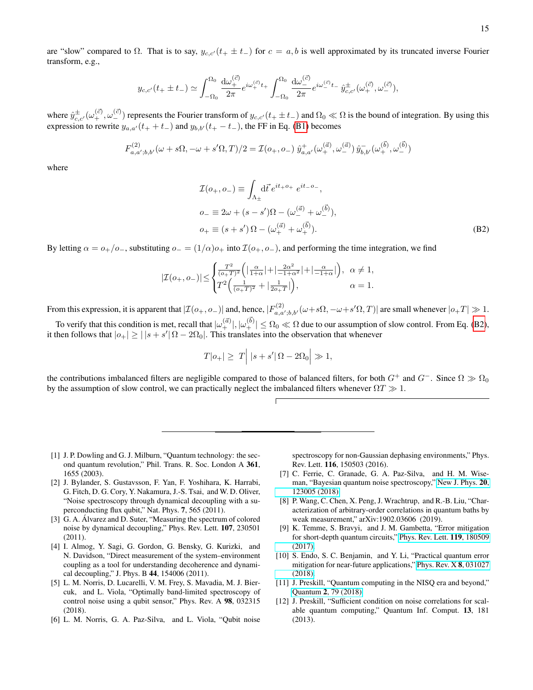are "slow" compared to  $\Omega$ . That is to say,  $y_{c,c'}(t_+ \pm t_-)$  for  $c = a, b$  is well approximated by its truncated inverse Fourier transform, e.g.,

$$
y_{c,c'}(t_{+} \pm t_{-}) \simeq \int_{-\Omega_{0}}^{\Omega_{0}} \frac{\mathrm{d}\omega_{+}^{(\vec{c})}}{2\pi} e^{i\omega_{+}^{(\vec{c})}t_{+}} \int_{-\Omega_{0}}^{\Omega_{0}} \frac{\mathrm{d}\omega_{-}^{(\vec{c})}}{2\pi} e^{i\omega_{-}^{(\vec{c})}t_{-}} \hat{y}_{c,c'}^{\pm}(\omega_{+}^{(\vec{c})}, \omega_{-}^{(\vec{c})}),
$$

where  $\hat{y}_{c,c}^{\pm}(\omega_{+}^{(\vec{c})},\omega_{-}^{(\vec{c})})$  represents the Fourier transform of  $y_{c,c'}(t+\pm t_{-})$  and  $\Omega_0 \ll \Omega$  is the bound of integration. By using this expression to rewrite  $y_{a,a}(t_{+} + t_{-})$  and  $y_{b,b}(t_{+} - t_{-})$ , the FF in Eq. [\(B1\)](#page-13-2) becomes

$$
F_{a,a';b,b'}^{(2)}(\omega+s\Omega,-\omega+s'\Omega,T)/2 = \mathcal{I}(o_+,o_-) \hat{y}_{a,a'}^+(\omega_+^{(\vec{a})},\omega_-^{(\vec{a})}) \hat{y}_{b,b'}^-(\omega_+^{(\vec{b})},\omega_-^{(\vec{b})})
$$

where

<span id="page-14-10"></span>
$$
\mathcal{I}(o_+, o_-) \equiv \int_{\Lambda_{\pm}} d\vec{t} \, e^{it_+o_+} \, e^{it_-o_-},
$$
\n
$$
o_- \equiv 2\omega + (s - s')\Omega - (\omega_-^{(\vec{a})} + \omega_-^{(\vec{b})}),
$$
\n
$$
o_+ \equiv (s + s')\Omega - (\omega_+^{(\vec{a})} + \omega_+^{(\vec{b})}).
$$
\n(B2)

By letting  $\alpha = o_+/o_-$ , substituting  $o_-= (1/\alpha)o_+$  into  $\mathcal{I}(o_+, o_-)$ , and performing the time integration, we find

$$
|\mathcal{I}(o_+,o_-)| \leq \begin{cases} \frac{T^2}{(o_+T)^2} \left( \left| \frac{\alpha}{1+\alpha} \right| + \left| \frac{2\alpha^2}{-1+\alpha^2} \right| + \left| \frac{\alpha}{-1+\alpha} \right| \right), & \alpha \neq 1, \\ T^2 \left( \frac{1}{(o_+T)^2} + \left| \frac{1}{2o_+T} \right| \right), & \alpha = 1. \end{cases}
$$

From this expression, it is apparent that  $|\mathcal{I}(o_+, o_-)|$  and, hence,  $|F_{a,a',b,b'}^{(2)}(\omega+s\Omega,-\omega+s'\Omega,T)|$  are small whenever  $|o_+T|\gg1$ .

To verify that this condition is met, recall that  $|\omega^{(\vec{a})}_+|, |\omega^{(\vec{b})}_+| \leq \Omega_0 \ll \Omega$  due to our assumption of slow control. From Eq. [\(B2\)](#page-14-10), it then follows that  $|o_+| \geq | |s + s'| \Omega - 2\Omega_0|$ . This translates into the observation that whenever

$$
T|o_+| \geq T| |s + s'| \Omega - 2\Omega_0| \gg 1,
$$

the contributions imbalanced filters are negligible compared to those of balanced filters, for both  $G^+$  and  $G^-$ . Since  $\Omega \gg \Omega_0$ by the assumption of slow control, we can practically neglect the imbalanced filters whenever  $\Omega T \gg 1$ .

- <span id="page-14-0"></span>[1] J. P. Dowling and G. J. Milburn, "Quantum technology: the second quantum revolution," Phil. Trans. R. Soc. London A 361, 1655 (2003).
- <span id="page-14-1"></span>[2] J. Bylander, S. Gustavsson, F. Yan, F. Yoshihara, K. Harrabi, G. Fitch, D. G. Cory, Y. Nakamura, J.-S. Tsai, and W. D. Oliver, "Noise spectroscopy through dynamical decoupling with a superconducting flux qubit," Nat. Phys. 7, 565 (2011).
- <span id="page-14-7"></span>[3] G. A. Álvarez and D. Suter, "Measuring the spectrum of colored noise by dynamical decoupling," Phys. Rev. Lett. 107, 230501 (2011).
- [4] I. Almog, Y. Sagi, G. Gordon, G. Bensky, G. Kurizki, and N. Davidson, "Direct measurement of the system–environment coupling as a tool for understanding decoherence and dynamical decoupling," J. Phys. B 44, 154006 (2011).
- <span id="page-14-9"></span>[5] L. M. Norris, D. Lucarelli, V. M. Frey, S. Mavadia, M. J. Biercuk, and L. Viola, "Optimally band-limited spectroscopy of control noise using a qubit sensor," Phys. Rev. A 98, 032315 (2018).
- <span id="page-14-8"></span>[6] L. M. Norris, G. A. Paz-Silva, and L. Viola, "Qubit noise

spectroscopy for non-Gaussian dephasing environments," Phys. Rev. Lett. 116, 150503 (2016).

- [7] C. Ferrie, C. Granade, G. A. Paz-Silva, and H. M. Wiseman, "Bayesian quantum noise spectroscopy," [New J. Phys.](http://dx.doi.org/10.1088/1367-2630/aaf207) 20, [123005 \(2018\).](http://dx.doi.org/10.1088/1367-2630/aaf207)
- <span id="page-14-2"></span>[8] P. Wang, C. Chen, X. Peng, J. Wrachtrup, and R.-B. Liu, "Characterization of arbitrary-order correlations in quantum baths by weak measurement," arXiv:1902.03606 (2019).
- <span id="page-14-3"></span>[9] K. Temme, S. Bravyi, and J. M. Gambetta, "Error mitigation for short-depth quantum circuits," [Phys. Rev. Lett.](http://dx.doi.org/ 10.1103/PhysRevLett.119.180509) 119, 180509 [\(2017\).](http://dx.doi.org/ 10.1103/PhysRevLett.119.180509)
- <span id="page-14-4"></span>[10] S. Endo, S. C. Benjamin, and Y. Li, "Practical quantum error mitigation for near-future applications," [Phys. Rev. X](http://dx.doi.org/10.1103/PhysRevX.8.031027) 8, 031027 [\(2018\).](http://dx.doi.org/10.1103/PhysRevX.8.031027)
- <span id="page-14-5"></span>[11] J. Preskill, "Quantum computing in the NISQ era and beyond," Quantum 2[, 79 \(2018\).](http://dx.doi.org/ 10.22331/q-2018-08-06-79)
- <span id="page-14-6"></span>[12] J. Preskill, "Sufficient condition on noise correlations for scalable quantum computing," Quantum Inf. Comput. 13, 181 (2013).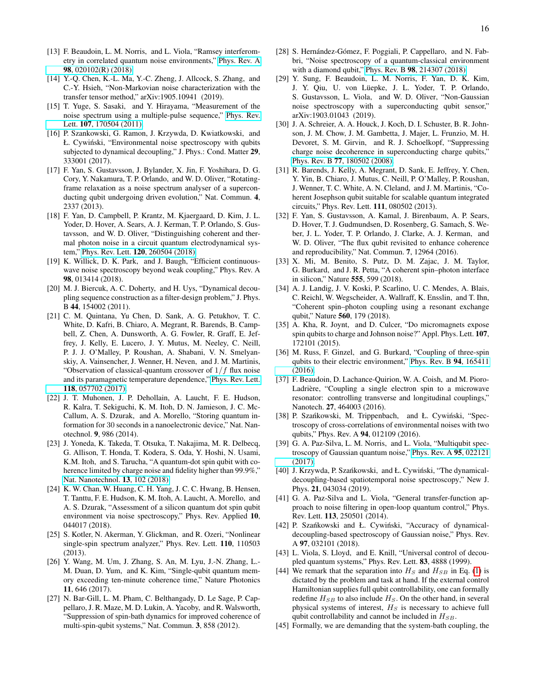- <span id="page-15-0"></span>[13] F. Beaudoin, L. M. Norris, and L. Viola, "Ramsey interferometry in correlated quantum noise environments," [Phys. Rev. A](http://dx.doi.org/ 10.1103/PhysRevA.98.020102) 98[, 020102\(R\) \(2018\).](http://dx.doi.org/ 10.1103/PhysRevA.98.020102)
- <span id="page-15-1"></span>[14] Y.-Q. Chen, K.-L. Ma, Y.-C. Zheng, J. Allcock, S. Zhang, and C.-Y. Hsieh, "Non-Markovian noise characterization with the transfer tensor method," arXiv:1905.10941 (2019).
- <span id="page-15-2"></span>[15] T. Yuge, S. Sasaki, and Y. Hirayama, "Measurement of the noise spectrum using a multiple-pulse sequence," [Phys. Rev.](http://link.aps.org/doi/10.1103/PhysRevLett.107.170504) Lett. 107[, 170504 \(2011\).](http://link.aps.org/doi/10.1103/PhysRevLett.107.170504)
- <span id="page-15-3"></span>[16] P. Szankowski, G. Ramon, J. Krzywda, D. Kwiatkowski, and Ł. Cywiński, "Environmental noise spectroscopy with qubits subjected to dynamical decoupling," J. Phys.: Cond. Matter 29, 333001 (2017).
- <span id="page-15-4"></span>[17] F. Yan, S. Gustavsson, J. Bylander, X. Jin, F. Yoshihara, D. G. Cory, Y. Nakamura, T. P. Orlando, and W. D. Oliver, "Rotatingframe relaxation as a noise spectrum analyser of a superconducting qubit undergoing driven evolution," Nat. Commun. 4, 2337 (2013).
- [18] F. Yan, D. Campbell, P. Krantz, M. Kjaergaard, D. Kim, J. L. Yoder, D. Hover, A. Sears, A. J. Kerman, T. P. Orlando, S. Gustavsson, and W. D. Oliver, "Distinguishing coherent and thermal photon noise in a circuit quantum electrodynamical system," Phys. Rev. Lett. 120[, 260504 \(2018\).](https://link.aps.org/doi/10.1103/PhysRevLett.120.260504)
- <span id="page-15-5"></span>[19] K. Willick, D. K. Park, and J. Baugh, "Efficient continuouswave noise spectroscopy beyond weak coupling," Phys. Rev. A 98, 013414 (2018).
- <span id="page-15-6"></span>[20] M. J. Biercuk, A. C. Doherty, and H. Uys, "Dynamical decoupling sequence construction as a filter-design problem," J. Phys. B 44, 154002 (2011).
- <span id="page-15-7"></span>[21] C. M. Quintana, Yu Chen, D. Sank, A. G. Petukhov, T. C. White, D. Kafri, B. Chiaro, A. Megrant, R. Barends, B. Campbell, Z. Chen, A. Dunsworth, A. G. Fowler, R. Graff, E. Jeffrey, J. Kelly, E. Lucero, J. Y. Mutus, M. Neeley, C. Neill, P. J. J. O'Malley, P. Roushan, A. Shabani, V. N. Smelyanskiy, A. Vainsencher, J. Wenner, H. Neven, and J. M. Martinis, "Observation of classical-quantum crossover of  $1/f$  flux noise and its paramagnetic temperature dependence," [Phys. Rev. Lett.](http://dx.doi.org/10.1103/PhysRevLett.118.057702) 118[, 057702 \(2017\).](http://dx.doi.org/10.1103/PhysRevLett.118.057702)
- <span id="page-15-8"></span>[22] J. T. Muhonen, J. P. Dehollain, A. Laucht, F. E. Hudson, R. Kalra, T. Sekiguchi, K. M. Itoh, D. N. Jamieson, J. C. Mc-Callum, A. S. Dzurak, and A. Morello, "Storing quantum information for 30 seconds in a nanoelectronic device," Nat. Nanotechnol. 9, 986 (2014).
- <span id="page-15-29"></span>[23] J. Yoneda, K. Takeda, T. Otsuka, T. Nakajima, M. R. Delbecq, G. Allison, T. Honda, T. Kodera, S. Oda, Y. Hoshi, N. Usami, K.M. Itoh, and S. Tarucha, "A quantum-dot spin qubit with coherence limited by charge noise and fidelity higher than 99.9%," [Nat. Nanotechnol.](https://www.nature.com/articles/s41565-017-0014-x) 13, 102 (2018).
- <span id="page-15-9"></span>[24] K. W. Chan, W. Huang, C. H. Yang, J. C. C. Hwang, B. Hensen, T. Tanttu, F. E. Hudson, K. M. Itoh, A. Laucht, A. Morello, and A. S. Dzurak, "Assessment of a silicon quantum dot spin qubit environment via noise spectroscopy," Phys. Rev. Applied 10, 044017 (2018).
- <span id="page-15-10"></span>[25] S. Kotler, N. Akerman, Y. Glickman, and R. Ozeri, "Nonlinear single-spin spectrum analyzer," Phys. Rev. Lett. 110, 110503 (2013).
- <span id="page-15-11"></span>[26] Y. Wang, M. Um, J. Zhang, S. An, M. Lyu, J.-N. Zhang, L.- M. Duan, D. Yum, and K. Kim, "Single-qubit quantum memory exceeding ten-minute coherence time," Nature Photonics 11, 646 (2017).
- <span id="page-15-12"></span>[27] N. Bar-Gill, L. M. Pham, C. Belthangady, D. Le Sage, P. Cappellaro, J. R. Maze, M. D. Lukin, A. Yacoby, and R. Walsworth, "Suppression of spin-bath dynamics for improved coherence of multi-spin-qubit systems," Nat. Commun. 3, 858 (2012).
- <span id="page-15-13"></span>[28] S. Hernández-Gómez, F. Poggiali, P. Cappellaro, and N. Fabbri, "Noise spectroscopy of a quantum-classical environment with a diamond qubit," Phys. Rev. B 98[, 214307 \(2018\).](https://link.aps.org/doi/10.1103/PhysRevB.98.214307)
- <span id="page-15-14"></span>[29] Y. Sung, F. Beaudoin, L. M. Norris, F. Yan, D. K. Kim, J. Y. Qiu, U. von Lüepke, J. L. Yoder, T. P. Orlando, S. Gustavsson, L. Viola, and W. D. Oliver, "Non-Gaussian noise spectroscopy with a superconducting qubit sensor," arXiv:1903.01043 (2019).
- <span id="page-15-15"></span>[30] J. A. Schreier, A. A. Houck, J. Koch, D. I. Schuster, B. R. Johnson, J. M. Chow, J. M. Gambetta, J. Majer, L. Frunzio, M. H. Devoret, S. M. Girvin, and R. J. Schoelkopf, "Suppressing charge noise decoherence in superconducting charge qubits, Phys. Rev. B 77[, 180502 \(2008\).](http://dx.doi.org/10.1103/PhysRevB.77.180502)
- [31] R. Barends, J. Kelly, A. Megrant, D. Sank, E. Jeffrey, Y. Chen, Y. Yin, B. Chiaro, J. Mutus, C. Neill, P. O'Malley, P. Roushan, J. Wenner, T. C. White, A. N. Cleland, and J. M. Martinis, "Coherent Josephson qubit suitable for scalable quantum integrated circuits," Phys. Rev. Lett. 111, 080502 (2013).
- <span id="page-15-16"></span>[32] F. Yan, S. Gustavsson, A. Kamal, J. Birenbaum, A. P. Sears, D. Hover, T. J. Gudmundsen, D. Rosenberg, G. Samach, S. Weber, J. L. Yoder, T. P. Orlando, J. Clarke, A. J. Kerman, and W. D. Oliver, "The flux qubit revisited to enhance coherence and reproducibility," Nat. Commun. 7, 12964 (2016).
- <span id="page-15-17"></span>[33] X. Mi, M. Benito, S. Putz, D. M. Zajac, J. M. Taylor, G. Burkard, and J. R. Petta, "A coherent spin–photon interface in silicon," Nature 555, 599 (2018).
- <span id="page-15-18"></span>[34] A. J. Landig, J. V. Koski, P. Scarlino, U. C. Mendes, A. Blais, C. Reichl, W. Wegscheider, A. Wallraff, K. Ensslin, and T. Ihn, "Coherent spin–photon coupling using a resonant exchange qubit," Nature 560, 179 (2018).
- <span id="page-15-19"></span>[35] A. Kha, R. Joynt, and D. Culcer, "Do micromagnets expose spin qubits to charge and Johnson noise?" Appl. Phys. Lett. 107, 172101 (2015).
- [36] M. Russ, F. Ginzel, and G. Burkard, "Coupling of three-spin qubits to their electric environment," [Phys. Rev. B](https://link.aps.org/doi/10.1103/PhysRevB.94.165411) 94, 165411 [\(2016\).](https://link.aps.org/doi/10.1103/PhysRevB.94.165411)
- <span id="page-15-20"></span>[37] F. Beaudoin, D. Lachance-Quirion, W. A. Coish, and M. Pioro-Ladrière, "Coupling a single electron spin to a microwave resonator: controlling transverse and longitudinal couplings," Nanotech. 27, 464003 (2016).
- <span id="page-15-21"></span>[38] P. Szańkowski, M. Trippenbach, and Ł. Cywiński, "Spectroscopy of cross-correlations of environmental noises with two qubits," Phys. Rev. A 94, 012109 (2016).
- <span id="page-15-26"></span>[39] G. A. Paz-Silva, L. M. Norris, and L. Viola, "Multiqubit spectroscopy of Gaussian quantum noise," [Phys. Rev. A](http://dx.doi.org/ 10.1103/PhysRevA.95.022121) 95, 022121 [\(2017\).](http://dx.doi.org/ 10.1103/PhysRevA.95.022121)
- <span id="page-15-22"></span>[40] J. Krzywda, P. Szańkowski, and Ł. Cywiński, "The dynamicaldecoupling-based spatiotemporal noise spectroscopy," New J. Phys. 21, 043034 (2019).
- <span id="page-15-23"></span>[41] G. A. Paz-Silva and L. Viola, "General transfer-function approach to noise filtering in open-loop quantum control," Phys. Rev. Lett. 113, 250501 (2014).
- <span id="page-15-24"></span>[42] P. Szańkowski and Ł. Cywiński, "Accuracy of dynamicaldecoupling-based spectroscopy of Gaussian noise," Phys. Rev. A 97, 032101 (2018).
- <span id="page-15-25"></span>[43] L. Viola, S. Lloyd, and E. Knill, "Universal control of decoupled quantum systems," Phys. Rev. Lett. 83, 4888 (1999).
- <span id="page-15-27"></span>[44] We remark that the separation into  $H<sub>S</sub>$  and  $H<sub>SB</sub>$  in Eq. [\(1\)](#page-2-3) is dictated by the problem and task at hand. If the external control Hamiltonian supplies full qubit controllability, one can formally redefine  $H_{SB}$  to also include  $H_S$ . On the other hand, in several physical systems of interest,  $H<sub>S</sub>$  is necessary to achieve full qubit controllability and cannot be included in  $H_{SB}$ .
- <span id="page-15-28"></span>[45] Formally, we are demanding that the system-bath coupling, the